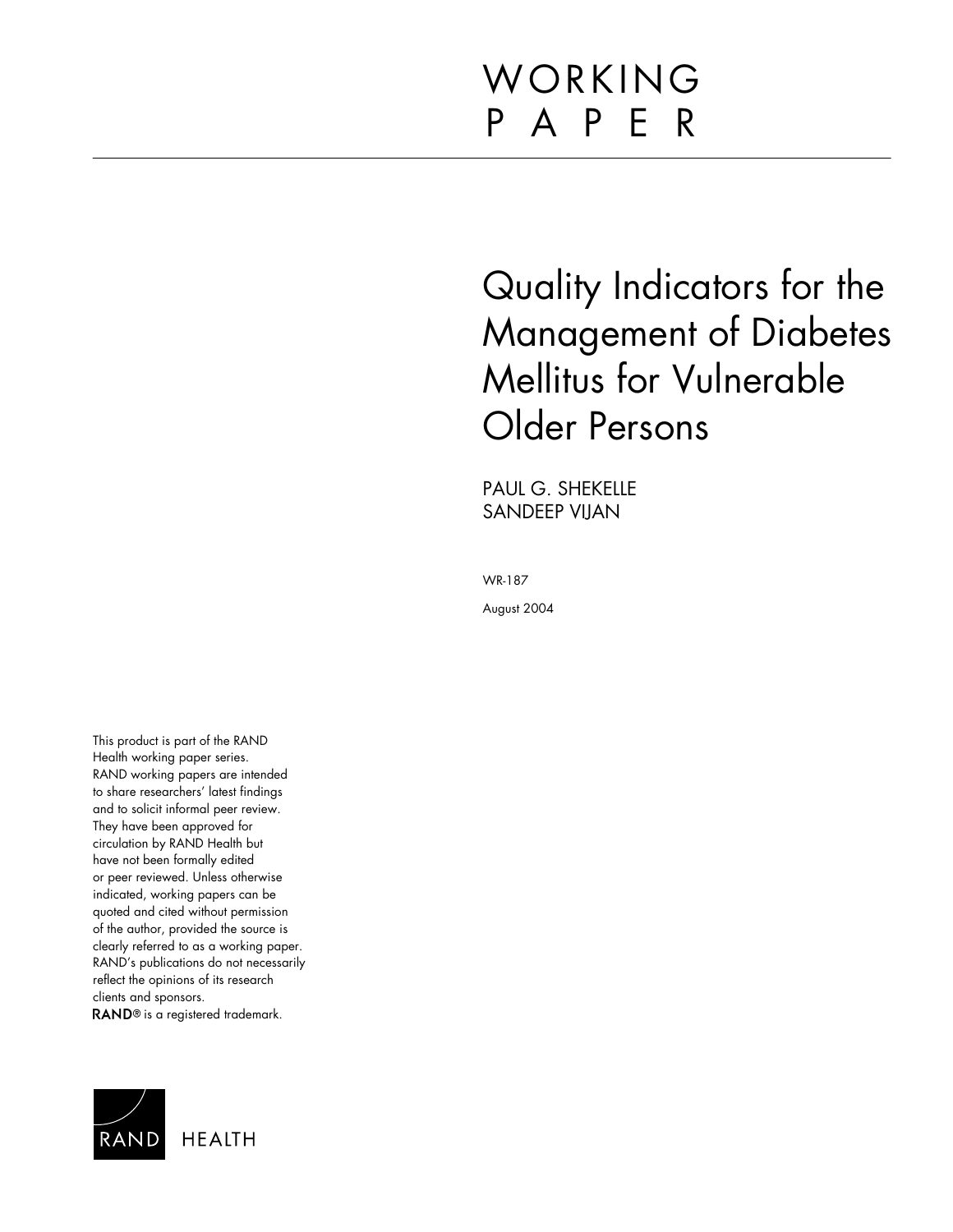# WORKING P A P E R

Quality Indicators for the Management of Diabetes Mellitus for Vulnerable Older Persons

PAUL G. SHEKELLE SANDEEP VIJAN

WR-187

August 2004

This product is part of the RAND Health working paper series. RAND working papers are intended to share researchers' latest findings and to solicit informal peer review. They have been approved for circulation by RAND Health but have not been formally edited or peer reviewed. Unless otherwise indicated, working papers can be quoted and cited without permission of the author, provided the source is clearly referred to as a working paper. RAND's publications do not necessarily reflect the opinions of its research clients and sponsors. RAND<sup>®</sup> is a registered trademark.

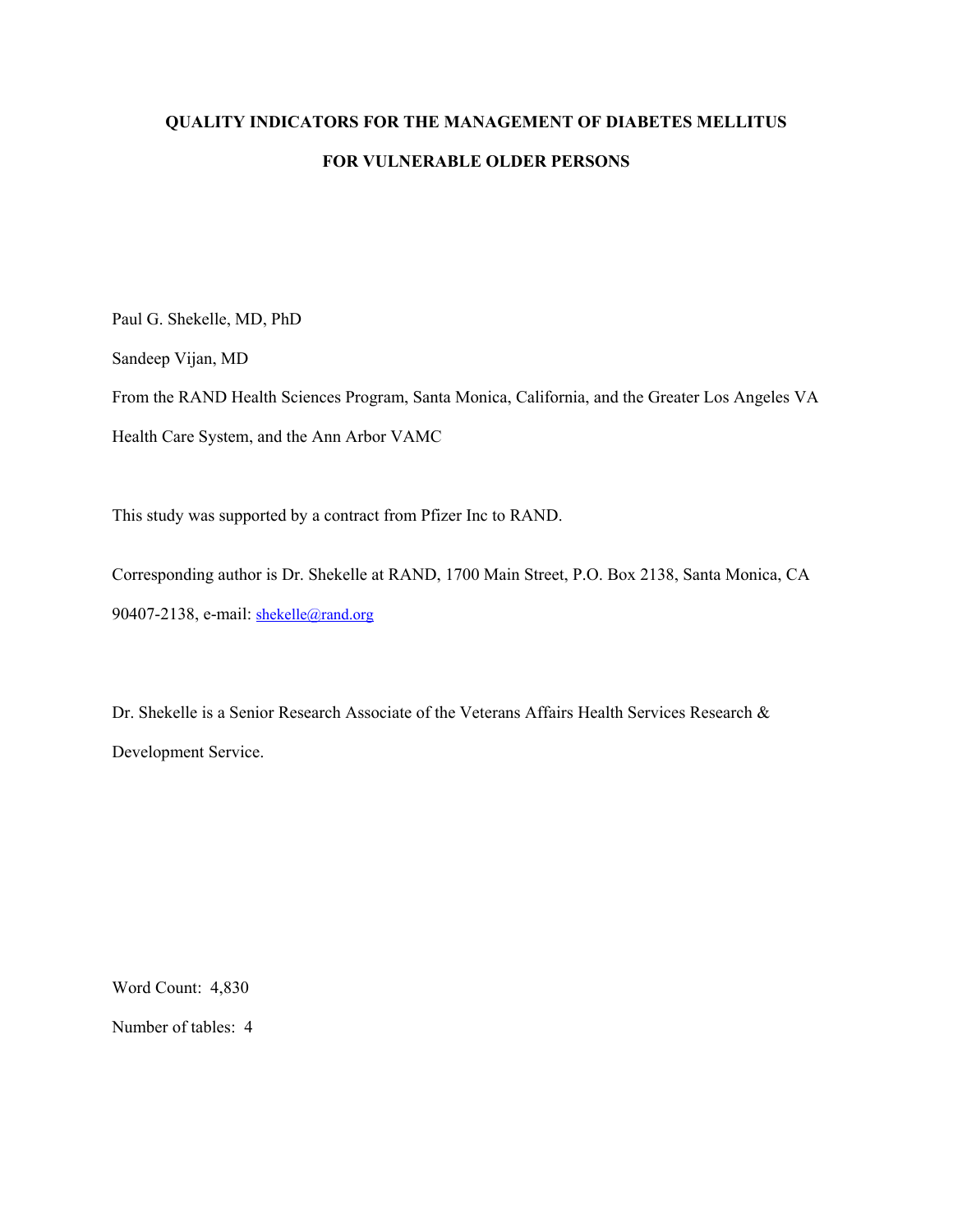## **QUALITY INDICATORS FOR THE MANAGEMENT OF DIABETES MELLITUS FOR VULNERABLE OLDER PERSONS**

Paul G. Shekelle, MD, PhD

Sandeep Vijan, MD

From the RAND Health Sciences Program, Santa Monica, California, and the Greater Los Angeles VA Health Care System, and the Ann Arbor VAMC

This study was supported by a contract from Pfizer Inc to RAND.

Corresponding author is Dr. Shekelle at RAND, 1700 Main Street, P.O. Box 2138, Santa Monica, CA 90407-2138, e-mail: shekelle@rand.org

Dr. Shekelle is a Senior Research Associate of the Veterans Affairs Health Services Research & Development Service.

Word Count: 4,830 Number of tables: 4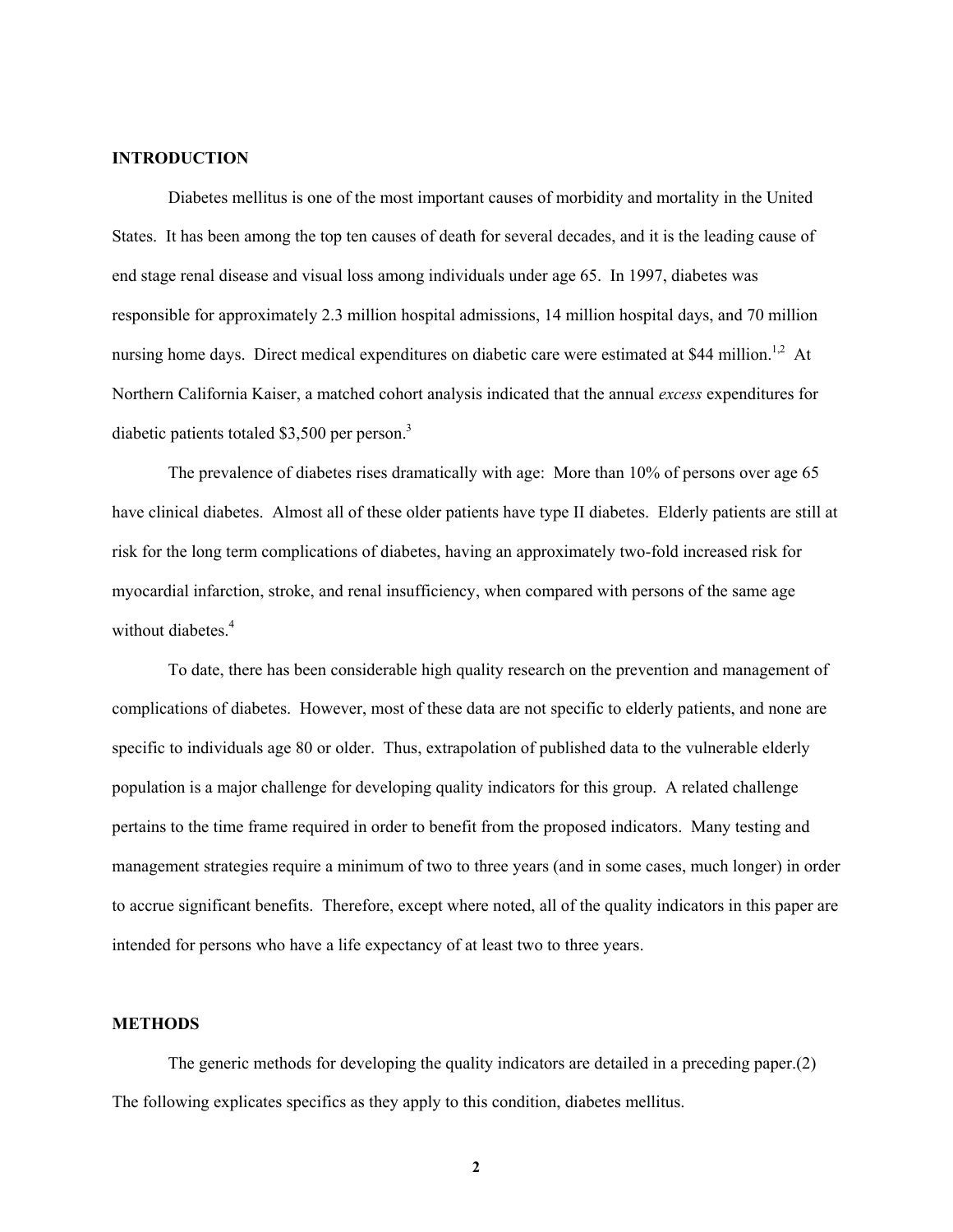### **INTRODUCTION**

Diabetes mellitus is one of the most important causes of morbidity and mortality in the United States. It has been among the top ten causes of death for several decades, and it is the leading cause of end stage renal disease and visual loss among individuals under age 65. In 1997, diabetes was responsible for approximately 2.3 million hospital admissions, 14 million hospital days, and 70 million nursing home days. Direct medical expenditures on diabetic care were estimated at \$44 million.<sup>1,2</sup> At Northern California Kaiser, a matched cohort analysis indicated that the annual *excess* expenditures for diabetic patients totaled \$3,500 per person. $3$ 

The prevalence of diabetes rises dramatically with age: More than 10% of persons over age 65 have clinical diabetes. Almost all of these older patients have type II diabetes. Elderly patients are still at risk for the long term complications of diabetes, having an approximately two-fold increased risk for myocardial infarction, stroke, and renal insufficiency, when compared with persons of the same age without diabetes.<sup>4</sup>

 To date, there has been considerable high quality research on the prevention and management of complications of diabetes. However, most of these data are not specific to elderly patients, and none are specific to individuals age 80 or older. Thus, extrapolation of published data to the vulnerable elderly population is a major challenge for developing quality indicators for this group. A related challenge pertains to the time frame required in order to benefit from the proposed indicators. Many testing and management strategies require a minimum of two to three years (and in some cases, much longer) in order to accrue significant benefits. Therefore, except where noted, all of the quality indicators in this paper are intended for persons who have a life expectancy of at least two to three years.

#### **METHODS**

The generic methods for developing the quality indicators are detailed in a preceding paper.(2) The following explicates specifics as they apply to this condition, diabetes mellitus.

**2**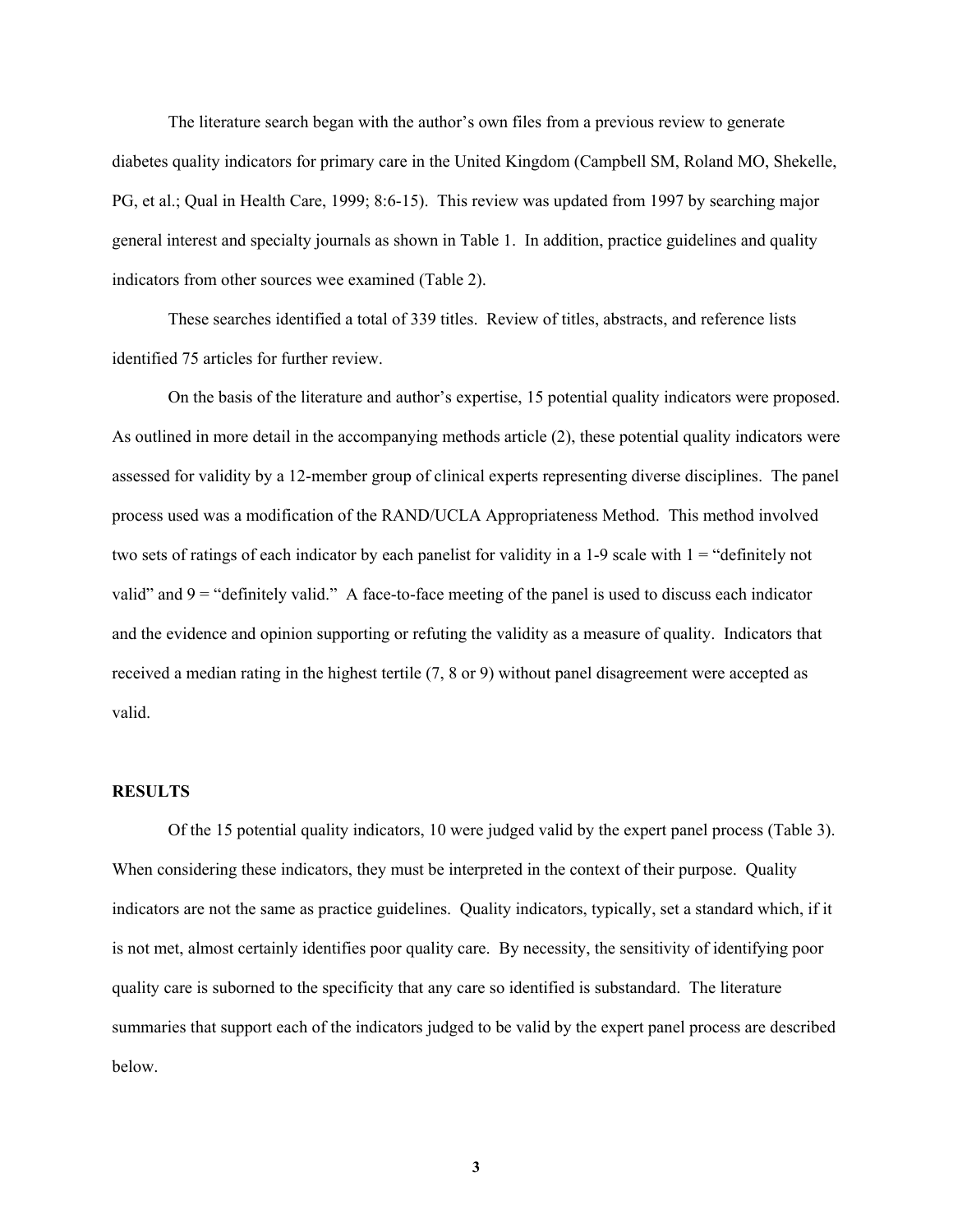The literature search began with the author's own files from a previous review to generate diabetes quality indicators for primary care in the United Kingdom (Campbell SM, Roland MO, Shekelle, PG, et al.; Qual in Health Care, 1999; 8:6-15). This review was updated from 1997 by searching major general interest and specialty journals as shown in Table 1. In addition, practice guidelines and quality indicators from other sources wee examined (Table 2).

These searches identified a total of 339 titles. Review of titles, abstracts, and reference lists identified 75 articles for further review.

On the basis of the literature and author's expertise, 15 potential quality indicators were proposed. As outlined in more detail in the accompanying methods article (2), these potential quality indicators were assessed for validity by a 12-member group of clinical experts representing diverse disciplines. The panel process used was a modification of the RAND/UCLA Appropriateness Method. This method involved two sets of ratings of each indicator by each panelist for validity in a 1-9 scale with  $1 =$  "definitely not valid" and  $9 =$  "definitely valid." A face-to-face meeting of the panel is used to discuss each indicator and the evidence and opinion supporting or refuting the validity as a measure of quality. Indicators that received a median rating in the highest tertile (7, 8 or 9) without panel disagreement were accepted as valid.

### **RESULTS**

Of the 15 potential quality indicators, 10 were judged valid by the expert panel process (Table 3). When considering these indicators, they must be interpreted in the context of their purpose. Quality indicators are not the same as practice guidelines. Quality indicators, typically, set a standard which, if it is not met, almost certainly identifies poor quality care. By necessity, the sensitivity of identifying poor quality care is suborned to the specificity that any care so identified is substandard. The literature summaries that support each of the indicators judged to be valid by the expert panel process are described below.

**3**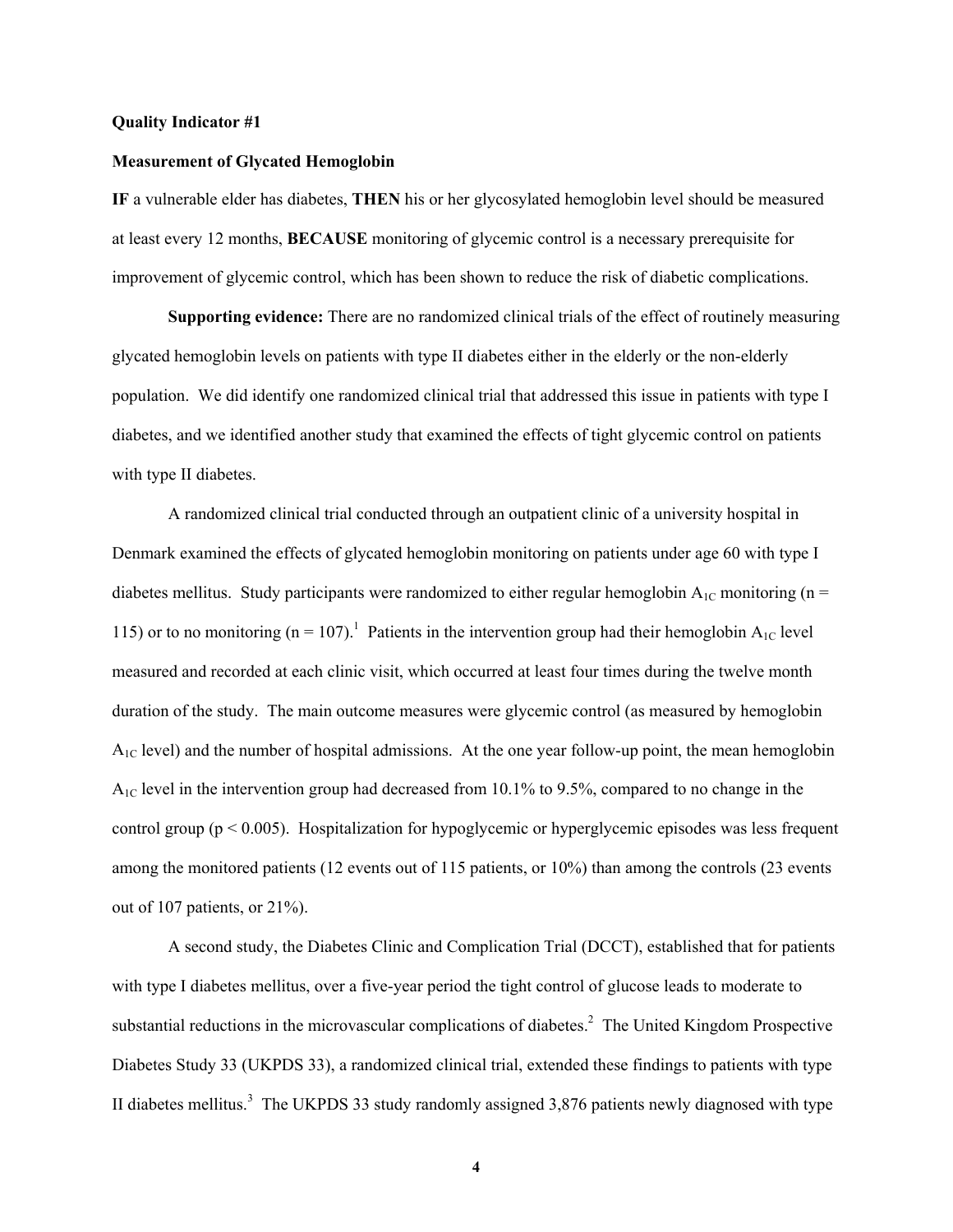#### **Quality Indicator #1**

### **Measurement of Glycated Hemoglobin**

**IF** a vulnerable elder has diabetes, **THEN** his or her glycosylated hemoglobin level should be measured at least every 12 months, **BECAUSE** monitoring of glycemic control is a necessary prerequisite for improvement of glycemic control, which has been shown to reduce the risk of diabetic complications.

 **Supporting evidence:** There are no randomized clinical trials of the effect of routinely measuring glycated hemoglobin levels on patients with type II diabetes either in the elderly or the non-elderly population. We did identify one randomized clinical trial that addressed this issue in patients with type I diabetes, and we identified another study that examined the effects of tight glycemic control on patients with type II diabetes.

A randomized clinical trial conducted through an outpatient clinic of a university hospital in Denmark examined the effects of glycated hemoglobin monitoring on patients under age 60 with type I diabetes mellitus. Study participants were randomized to either regular hemoglobin  $A_{1C}$  monitoring (n = 115) or to no monitoring ( $n = 107$ ).<sup>1</sup> Patients in the intervention group had their hemoglobin A<sub>1C</sub> level measured and recorded at each clinic visit, which occurred at least four times during the twelve month duration of the study. The main outcome measures were glycemic control (as measured by hemoglobin A1C level) and the number of hospital admissions. At the one year follow-up point, the mean hemoglobin A1C level in the intervention group had decreased from 10.1% to 9.5%, compared to no change in the control group (p < 0.005). Hospitalization for hypoglycemic or hyperglycemic episodes was less frequent among the monitored patients (12 events out of 115 patients, or 10%) than among the controls (23 events out of 107 patients, or 21%).

A second study, the Diabetes Clinic and Complication Trial (DCCT), established that for patients with type I diabetes mellitus, over a five-year period the tight control of glucose leads to moderate to substantial reductions in the microvascular complications of diabetes.<sup>2</sup> The United Kingdom Prospective Diabetes Study 33 (UKPDS 33), a randomized clinical trial, extended these findings to patients with type II diabetes mellitus.<sup>3</sup> The UKPDS 33 study randomly assigned 3,876 patients newly diagnosed with type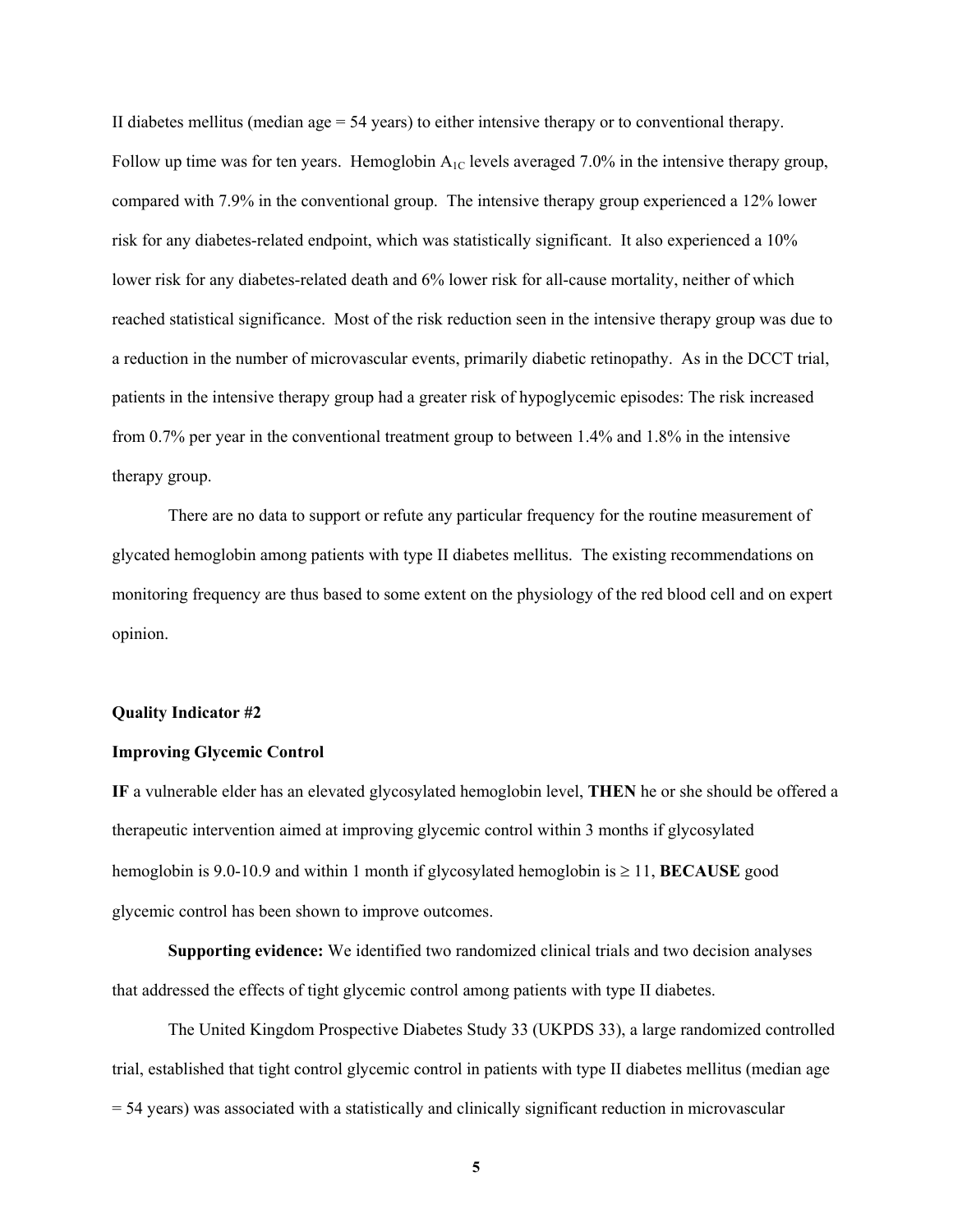II diabetes mellitus (median age  $= 54$  years) to either intensive therapy or to conventional therapy. Follow up time was for ten years. Hemoglobin  $A_{1C}$  levels averaged 7.0% in the intensive therapy group, compared with 7.9% in the conventional group. The intensive therapy group experienced a 12% lower risk for any diabetes-related endpoint, which was statistically significant. It also experienced a 10% lower risk for any diabetes-related death and 6% lower risk for all-cause mortality, neither of which reached statistical significance. Most of the risk reduction seen in the intensive therapy group was due to a reduction in the number of microvascular events, primarily diabetic retinopathy. As in the DCCT trial, patients in the intensive therapy group had a greater risk of hypoglycemic episodes: The risk increased from 0.7% per year in the conventional treatment group to between 1.4% and 1.8% in the intensive therapy group.

There are no data to support or refute any particular frequency for the routine measurement of glycated hemoglobin among patients with type II diabetes mellitus. The existing recommendations on monitoring frequency are thus based to some extent on the physiology of the red blood cell and on expert opinion.

#### **Quality Indicator #2**

#### **Improving Glycemic Control**

**IF** a vulnerable elder has an elevated glycosylated hemoglobin level, **THEN** he or she should be offered a therapeutic intervention aimed at improving glycemic control within 3 months if glycosylated hemoglobin is 9.0-10.9 and within 1 month if glycosylated hemoglobin is ≥ 11, **BECAUSE** good glycemic control has been shown to improve outcomes.

**Supporting evidence:** We identified two randomized clinical trials and two decision analyses that addressed the effects of tight glycemic control among patients with type II diabetes.

The United Kingdom Prospective Diabetes Study 33 (UKPDS 33), a large randomized controlled trial, established that tight control glycemic control in patients with type II diabetes mellitus (median age = 54 years) was associated with a statistically and clinically significant reduction in microvascular

**5**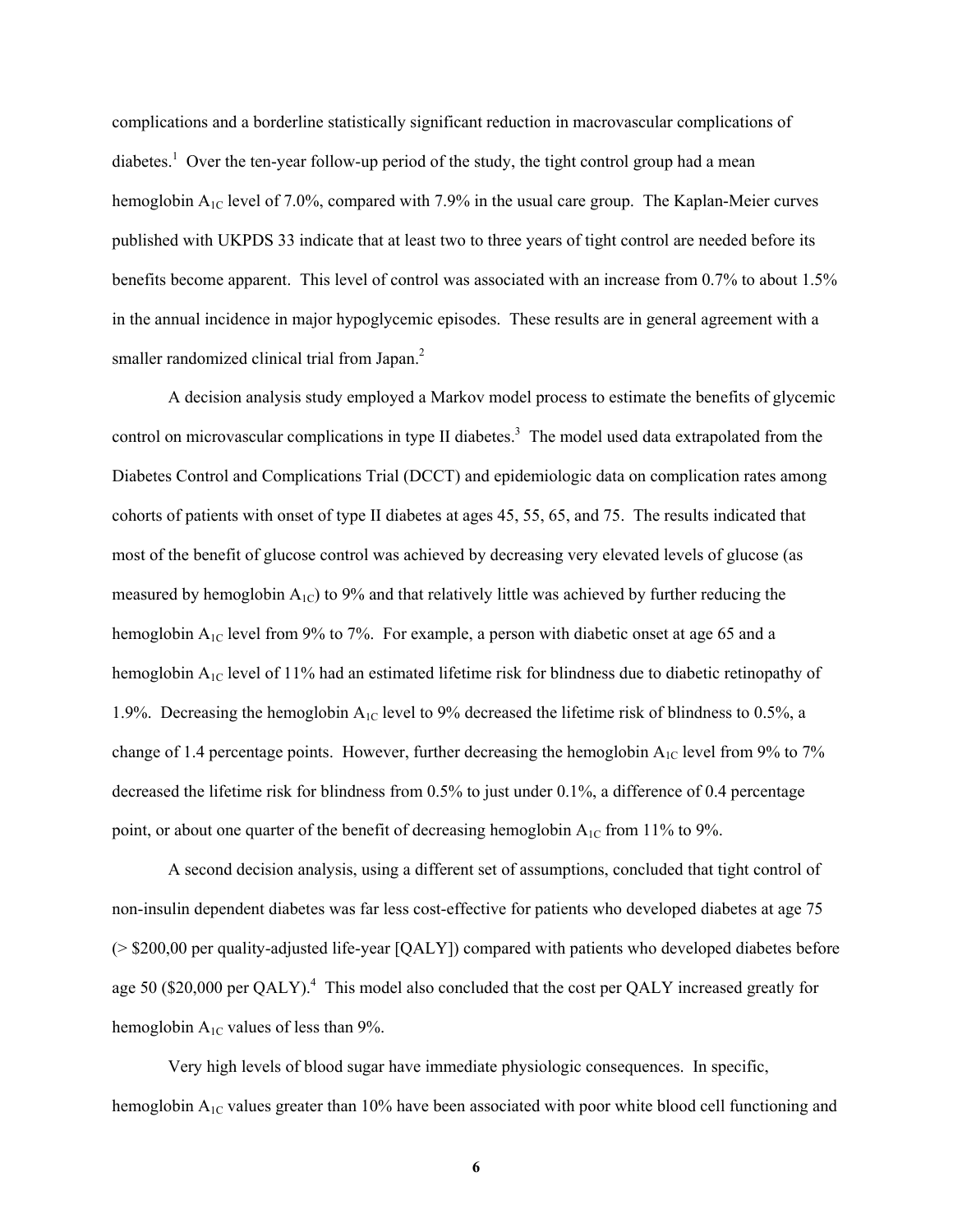complications and a borderline statistically significant reduction in macrovascular complications of diabetes.<sup>1</sup> Over the ten-year follow-up period of the study, the tight control group had a mean hemoglobin  $A_{1C}$  level of 7.0%, compared with 7.9% in the usual care group. The Kaplan-Meier curves published with UKPDS 33 indicate that at least two to three years of tight control are needed before its benefits become apparent. This level of control was associated with an increase from 0.7% to about 1.5% in the annual incidence in major hypoglycemic episodes. These results are in general agreement with a smaller randomized clinical trial from Japan.<sup>2</sup>

A decision analysis study employed a Markov model process to estimate the benefits of glycemic control on microvascular complications in type II diabetes.<sup>3</sup> The model used data extrapolated from the Diabetes Control and Complications Trial (DCCT) and epidemiologic data on complication rates among cohorts of patients with onset of type II diabetes at ages 45, 55, 65, and 75. The results indicated that most of the benefit of glucose control was achieved by decreasing very elevated levels of glucose (as measured by hemoglobin  $A_{1C}$ ) to 9% and that relatively little was achieved by further reducing the hemoglobin  $A_{1C}$  level from 9% to 7%. For example, a person with diabetic onset at age 65 and a hemoglobin A<sub>1C</sub> level of 11% had an estimated lifetime risk for blindness due to diabetic retinopathy of 1.9%. Decreasing the hemoglobin  $A_{1C}$  level to 9% decreased the lifetime risk of blindness to 0.5%, a change of 1.4 percentage points. However, further decreasing the hemoglobin  $A_{1C}$  level from 9% to 7% decreased the lifetime risk for blindness from 0.5% to just under 0.1%, a difference of 0.4 percentage point, or about one quarter of the benefit of decreasing hemoglobin  $A_{1C}$  from 11% to 9%.

A second decision analysis, using a different set of assumptions, concluded that tight control of non-insulin dependent diabetes was far less cost-effective for patients who developed diabetes at age 75 (> \$200,00 per quality-adjusted life-year [QALY]) compared with patients who developed diabetes before age 50 (\$20,000 per QALY).<sup>4</sup> This model also concluded that the cost per QALY increased greatly for hemoglobin  $A_{1C}$  values of less than 9%.

Very high levels of blood sugar have immediate physiologic consequences. In specific, hemoglobin  $A_{1C}$  values greater than 10% have been associated with poor white blood cell functioning and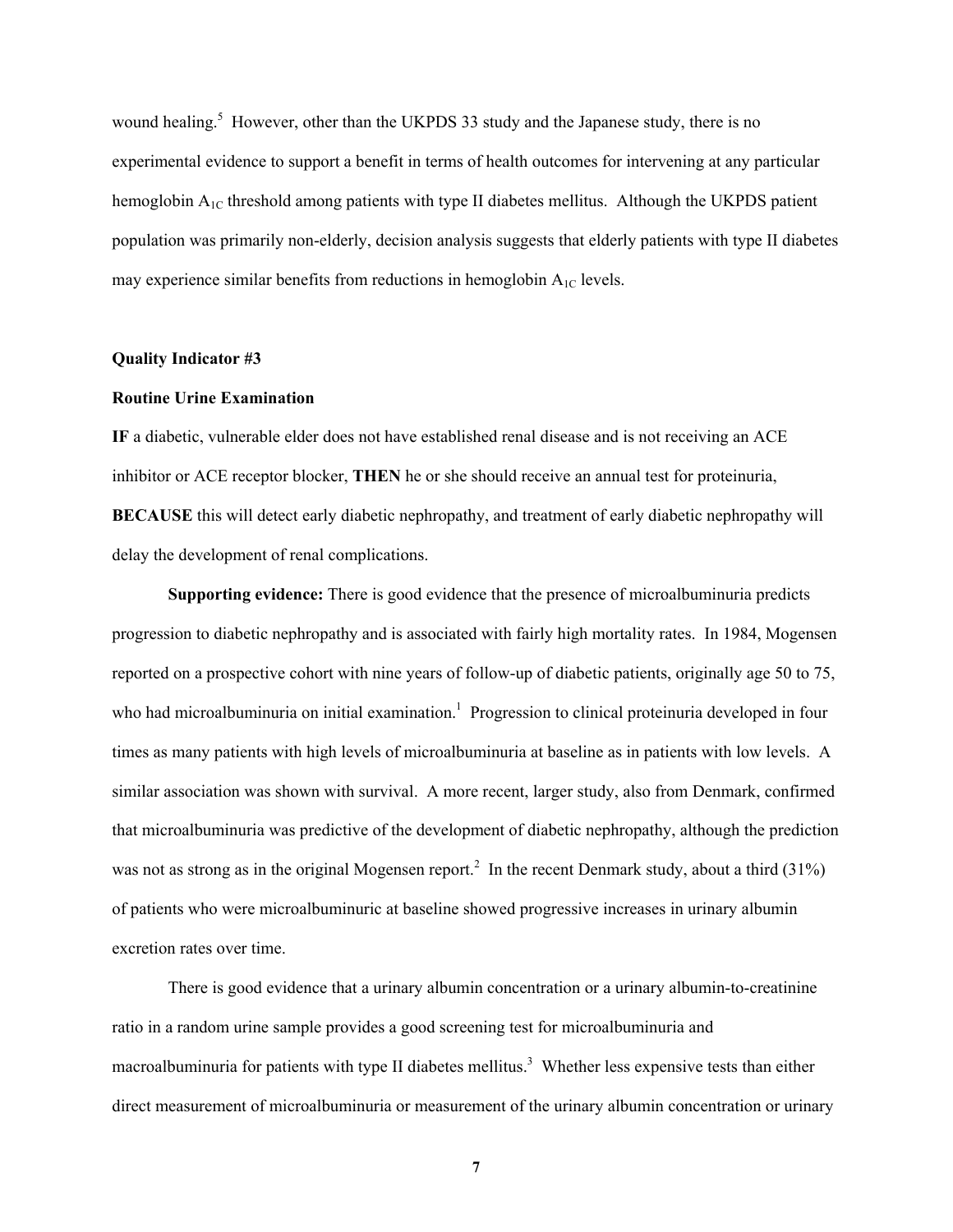wound healing.<sup>5</sup> However, other than the UKPDS 33 study and the Japanese study, there is no experimental evidence to support a benefit in terms of health outcomes for intervening at any particular hemoglobin  $A_{1C}$  threshold among patients with type II diabetes mellitus. Although the UKPDS patient population was primarily non-elderly, decision analysis suggests that elderly patients with type II diabetes may experience similar benefits from reductions in hemoglobin  $A_{1C}$  levels.

### **Quality Indicator #3**

#### **Routine Urine Examination**

**IF** a diabetic, vulnerable elder does not have established renal disease and is not receiving an ACE inhibitor or ACE receptor blocker, **THEN** he or she should receive an annual test for proteinuria, **BECAUSE** this will detect early diabetic nephropathy, and treatment of early diabetic nephropathy will delay the development of renal complications.

**Supporting evidence:** There is good evidence that the presence of microalbuminuria predicts progression to diabetic nephropathy and is associated with fairly high mortality rates. In 1984, Mogensen reported on a prospective cohort with nine years of follow-up of diabetic patients, originally age 50 to 75, who had microalbuminuria on initial examination.<sup>1</sup> Progression to clinical proteinuria developed in four times as many patients with high levels of microalbuminuria at baseline as in patients with low levels. A similar association was shown with survival. A more recent, larger study, also from Denmark, confirmed that microalbuminuria was predictive of the development of diabetic nephropathy, although the prediction was not as strong as in the original Mogensen report.<sup>2</sup> In the recent Denmark study, about a third  $(31\%)$ of patients who were microalbuminuric at baseline showed progressive increases in urinary albumin excretion rates over time.

There is good evidence that a urinary albumin concentration or a urinary albumin-to-creatinine ratio in a random urine sample provides a good screening test for microalbuminuria and macroalbuminuria for patients with type II diabetes mellitus.<sup>3</sup> Whether less expensive tests than either direct measurement of microalbuminuria or measurement of the urinary albumin concentration or urinary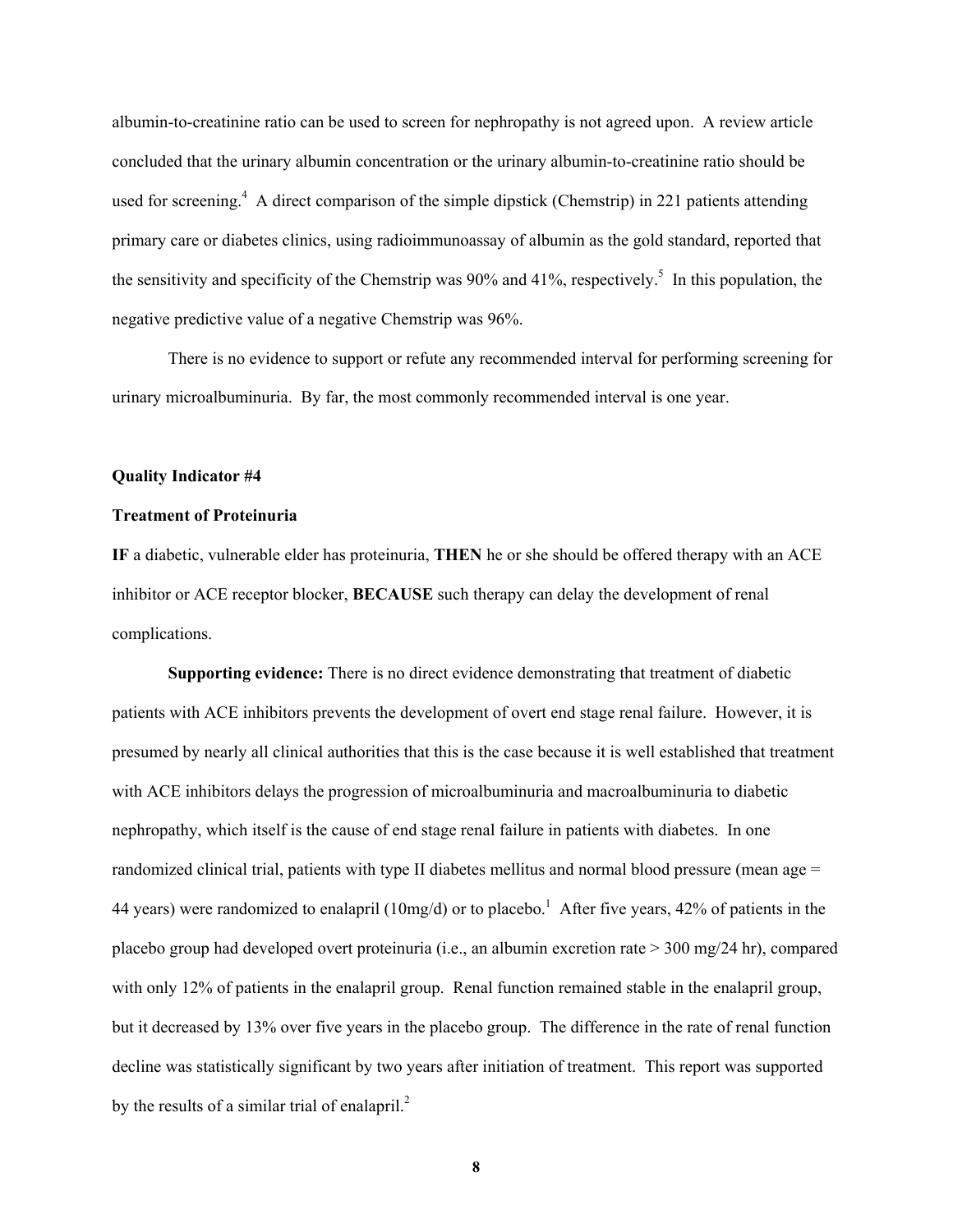albumin-to-creatinine ratio can be used to screen for nephropathy is not agreed upon. A review article concluded that the urinary albumin concentration or the urinary albumin-to-creatinine ratio should be used for screening.<sup>4</sup> A direct comparison of the simple dipstick (Chemstrip) in 221 patients attending primary care or diabetes clinics, using radioimmunoassay of albumin as the gold standard, reported that the sensitivity and specificity of the Chemstrip was 90% and 41%, respectively.<sup>5</sup> In this population, the negative predictive value of a negative Chemstrip was 96%.

There is no evidence to support or refute any recommended interval for performing screening for urinary microalbuminuria. By far, the most commonly recommended interval is one year.

#### **Quality Indicator #4**

### **Treatment of Proteinuria**

**IF** a diabetic, vulnerable elder has proteinuria, **THEN** he or she should be offered therapy with an ACE inhibitor or ACE receptor blocker, **BECAUSE** such therapy can delay the development of renal complications.

**Supporting evidence:** There is no direct evidence demonstrating that treatment of diabetic patients with ACE inhibitors prevents the development of overt end stage renal failure. However, it is presumed by nearly all clinical authorities that this is the case because it is well established that treatment with ACE inhibitors delays the progression of microalbuminuria and macroalbuminuria to diabetic nephropathy, which itself is the cause of end stage renal failure in patients with diabetes. In one randomized clinical trial, patients with type II diabetes mellitus and normal blood pressure (mean age = 44 years) were randomized to enalapril (10mg/d) or to placebo.<sup>1</sup> After five years, 42% of patients in the placebo group had developed overt proteinuria (i.e., an albumin excretion rate > 300 mg/24 hr), compared with only 12% of patients in the enalapril group. Renal function remained stable in the enalapril group, but it decreased by 13% over five years in the placebo group. The difference in the rate of renal function decline was statistically significant by two years after initiation of treatment. This report was supported by the results of a similar trial of enalapril. $2^2$ 

**8**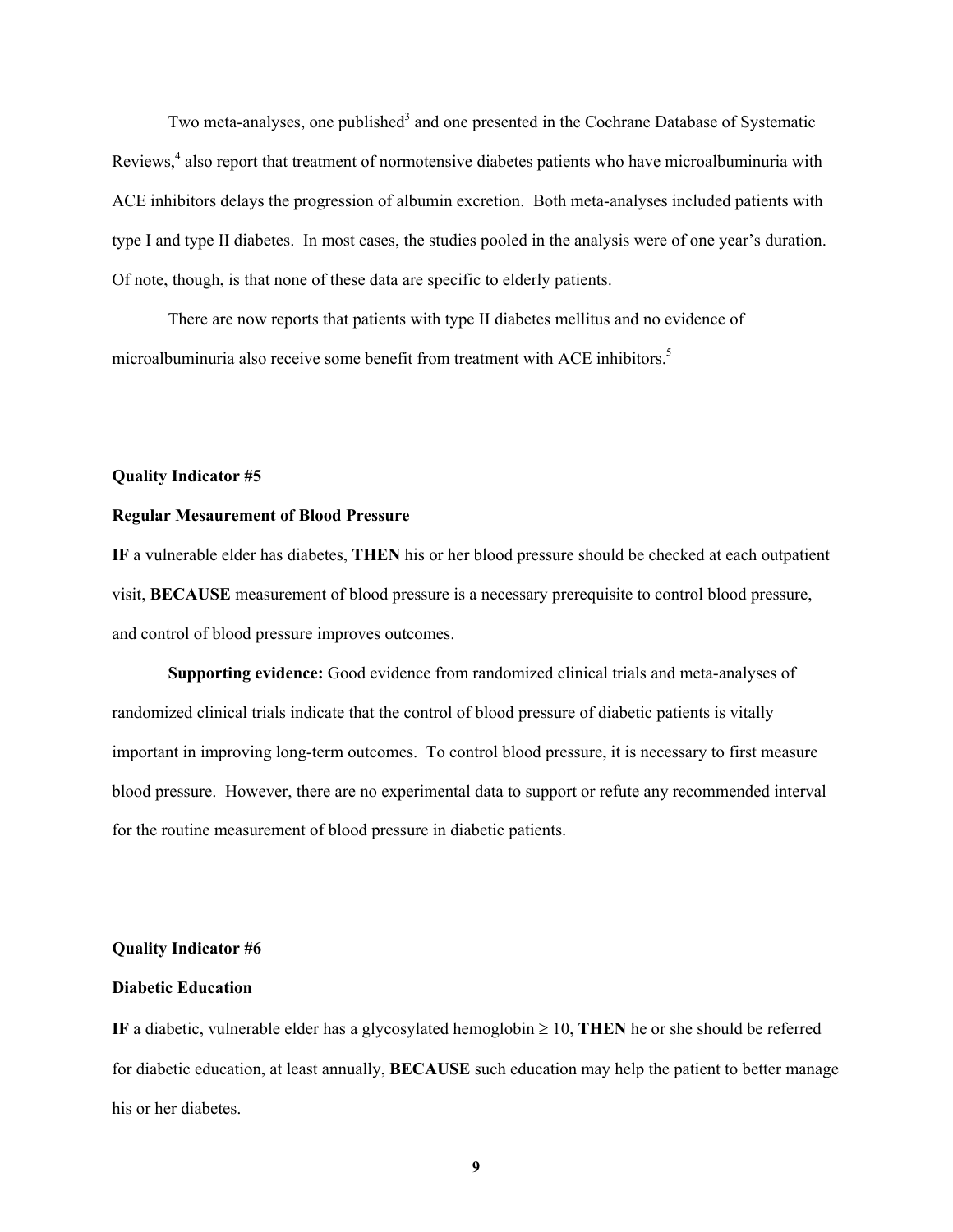Two meta-analyses, one published<sup>3</sup> and one presented in the Cochrane Database of Systematic Reviews,<sup>4</sup> also report that treatment of normotensive diabetes patients who have microalbuminuria with ACE inhibitors delays the progression of albumin excretion. Both meta-analyses included patients with type I and type II diabetes. In most cases, the studies pooled in the analysis were of one year's duration. Of note, though, is that none of these data are specific to elderly patients.

There are now reports that patients with type II diabetes mellitus and no evidence of microalbuminuria also receive some benefit from treatment with ACE inhibitors.5

#### **Quality Indicator #5**

#### **Regular Mesaurement of Blood Pressure**

**IF** a vulnerable elder has diabetes, **THEN** his or her blood pressure should be checked at each outpatient visit, **BECAUSE** measurement of blood pressure is a necessary prerequisite to control blood pressure, and control of blood pressure improves outcomes.

**Supporting evidence:** Good evidence from randomized clinical trials and meta-analyses of randomized clinical trials indicate that the control of blood pressure of diabetic patients is vitally important in improving long-term outcomes. To control blood pressure, it is necessary to first measure blood pressure. However, there are no experimental data to support or refute any recommended interval for the routine measurement of blood pressure in diabetic patients.

### **Quality Indicator #6**

### **Diabetic Education**

**IF** a diabetic, vulnerable elder has a glycosylated hemoglobin  $\geq 10$ , **THEN** he or she should be referred for diabetic education, at least annually, **BECAUSE** such education may help the patient to better manage his or her diabetes.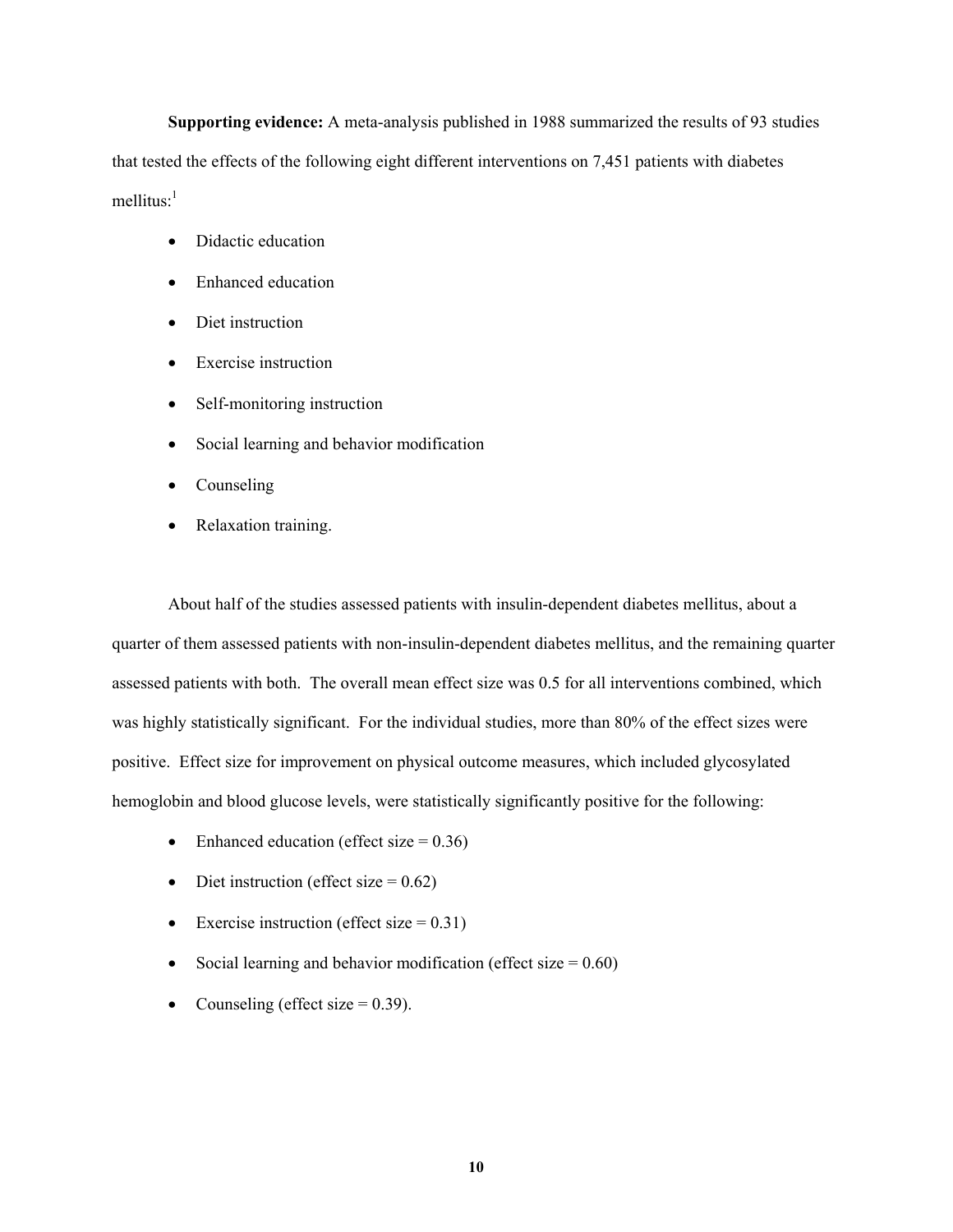**Supporting evidence:** A meta-analysis published in 1988 summarized the results of 93 studies that tested the effects of the following eight different interventions on 7,451 patients with diabetes mellitus: $<sup>1</sup>$ </sup>

- Didactic education
- Enhanced education
- Diet instruction
- Exercise instruction
- Self-monitoring instruction
- Social learning and behavior modification
- Counseling
- Relaxation training.

About half of the studies assessed patients with insulin-dependent diabetes mellitus, about a quarter of them assessed patients with non-insulin-dependent diabetes mellitus, and the remaining quarter assessed patients with both. The overall mean effect size was 0.5 for all interventions combined, which was highly statistically significant. For the individual studies, more than 80% of the effect sizes were positive. Effect size for improvement on physical outcome measures, which included glycosylated hemoglobin and blood glucose levels, were statistically significantly positive for the following:

- Enhanced education (effect size  $= 0.36$ )
- Diet instruction (effect size  $= 0.62$ )
- Exercise instruction (effect size  $= 0.31$ )
- Social learning and behavior modification (effect size  $= 0.60$ )
- Counseling (effect size  $= 0.39$ ).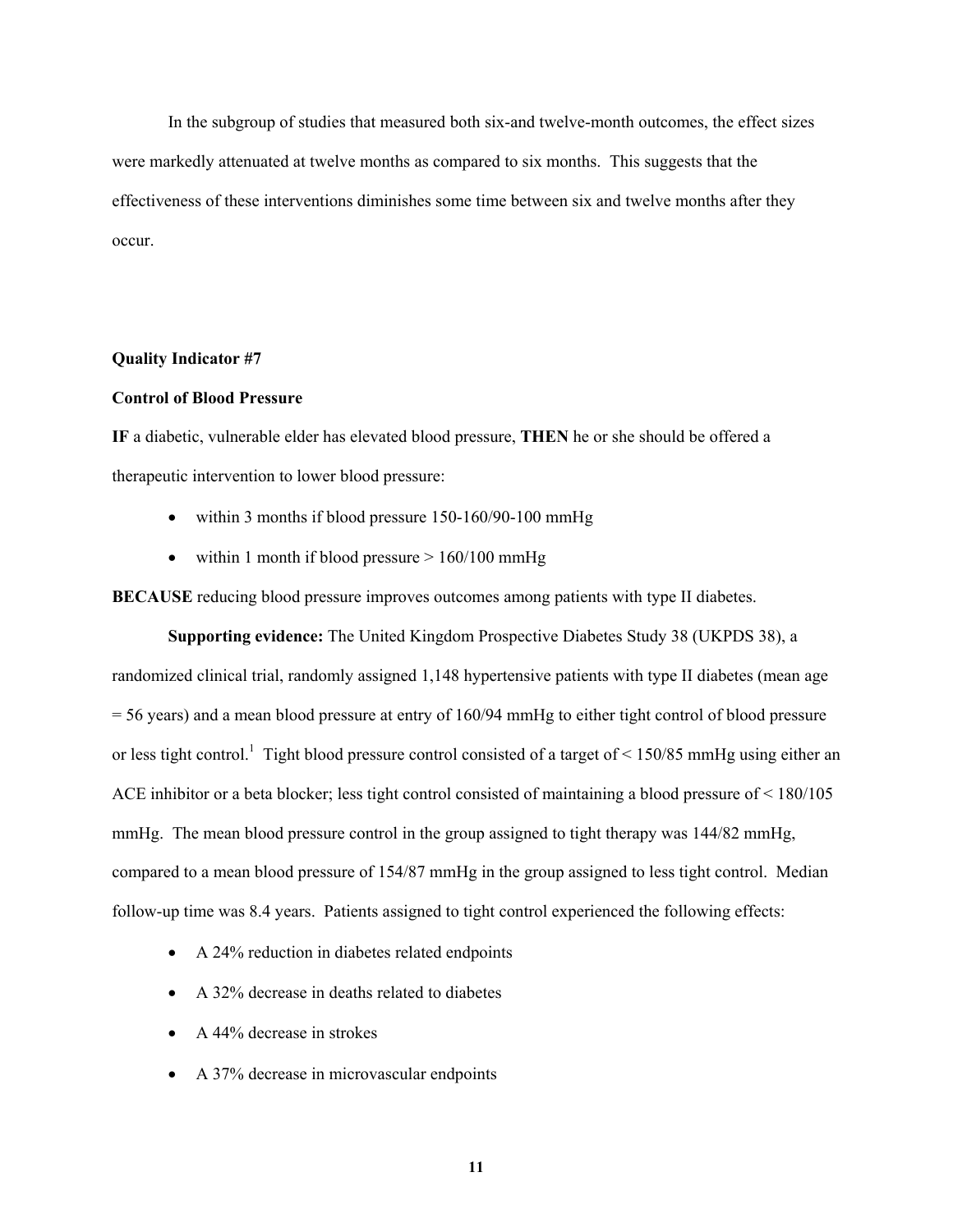In the subgroup of studies that measured both six-and twelve-month outcomes, the effect sizes were markedly attenuated at twelve months as compared to six months. This suggests that the effectiveness of these interventions diminishes some time between six and twelve months after they occur.

### **Quality Indicator #7**

#### **Control of Blood Pressure**

**IF** a diabetic, vulnerable elder has elevated blood pressure, **THEN** he or she should be offered a therapeutic intervention to lower blood pressure:

- within 3 months if blood pressure 150-160/90-100 mmHg
- within 1 month if blood pressure  $> 160/100$  mmHg

**BECAUSE** reducing blood pressure improves outcomes among patients with type II diabetes.

**Supporting evidence:** The United Kingdom Prospective Diabetes Study 38 (UKPDS 38), a randomized clinical trial, randomly assigned 1,148 hypertensive patients with type II diabetes (mean age = 56 years) and a mean blood pressure at entry of 160/94 mmHg to either tight control of blood pressure or less tight control.<sup>1</sup> Tight blood pressure control consisted of a target of  $\leq$  150/85 mmHg using either an ACE inhibitor or a beta blocker; less tight control consisted of maintaining a blood pressure of < 180/105 mmHg. The mean blood pressure control in the group assigned to tight therapy was 144/82 mmHg, compared to a mean blood pressure of 154/87 mmHg in the group assigned to less tight control. Median follow-up time was 8.4 years. Patients assigned to tight control experienced the following effects:

- A 24% reduction in diabetes related endpoints
- A 32% decrease in deaths related to diabetes
- A 44% decrease in strokes
- A 37% decrease in microvascular endpoints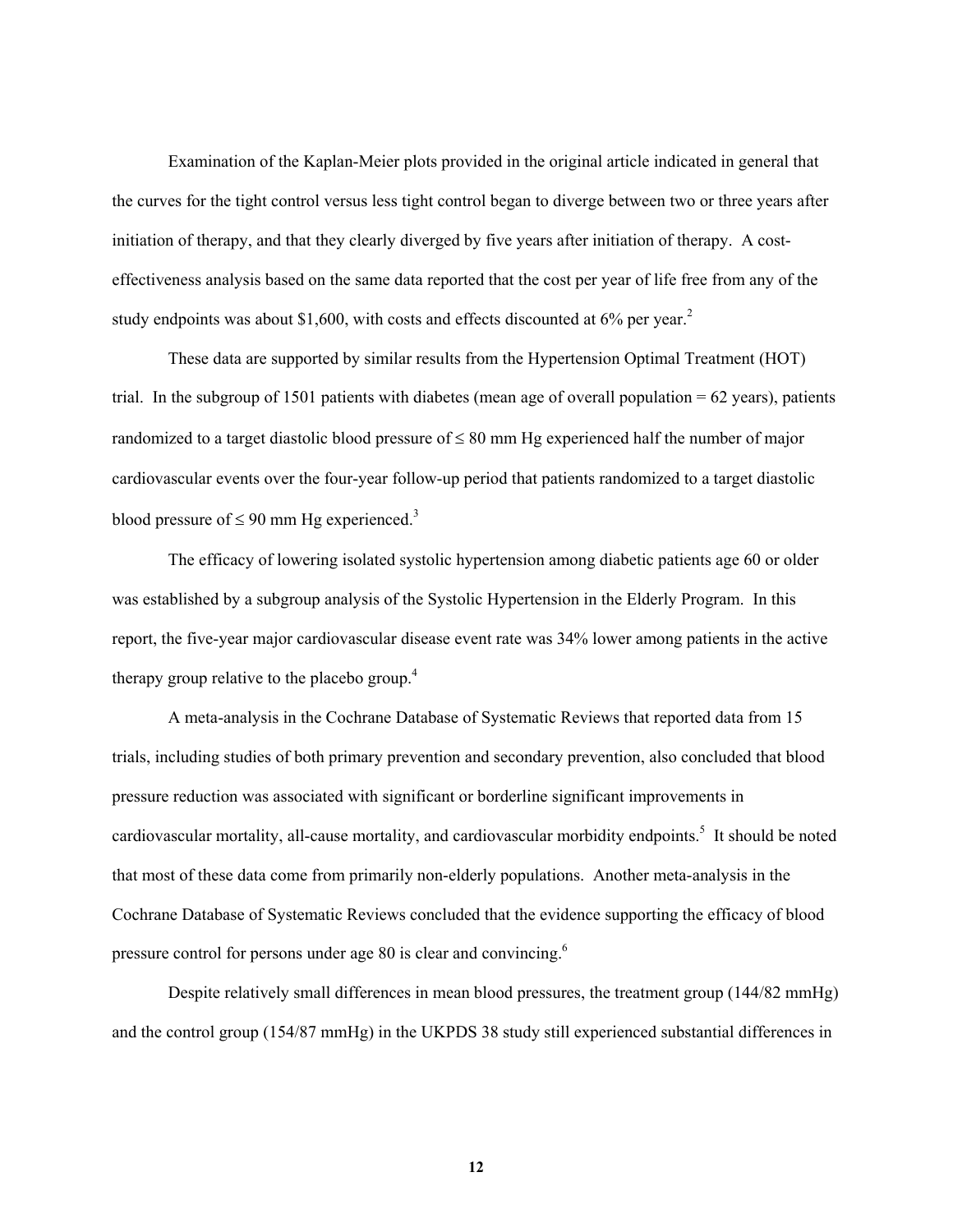Examination of the Kaplan-Meier plots provided in the original article indicated in general that the curves for the tight control versus less tight control began to diverge between two or three years after initiation of therapy, and that they clearly diverged by five years after initiation of therapy. A costeffectiveness analysis based on the same data reported that the cost per year of life free from any of the study endpoints was about \$1,600, with costs and effects discounted at  $6\%$  per year.<sup>2</sup>

These data are supported by similar results from the Hypertension Optimal Treatment (HOT) trial. In the subgroup of 1501 patients with diabetes (mean age of overall population  $= 62$  years), patients randomized to a target diastolic blood pressure of  $\leq 80$  mm Hg experienced half the number of major cardiovascular events over the four-year follow-up period that patients randomized to a target diastolic blood pressure of  $\leq 90$  mm Hg experienced.<sup>3</sup>

The efficacy of lowering isolated systolic hypertension among diabetic patients age 60 or older was established by a subgroup analysis of the Systolic Hypertension in the Elderly Program. In this report, the five-year major cardiovascular disease event rate was 34% lower among patients in the active therapy group relative to the placebo group.<sup>4</sup>

A meta-analysis in the Cochrane Database of Systematic Reviews that reported data from 15 trials, including studies of both primary prevention and secondary prevention, also concluded that blood pressure reduction was associated with significant or borderline significant improvements in cardiovascular mortality, all-cause mortality, and cardiovascular morbidity endpoints.<sup>5</sup> It should be noted that most of these data come from primarily non-elderly populations. Another meta-analysis in the Cochrane Database of Systematic Reviews concluded that the evidence supporting the efficacy of blood pressure control for persons under age 80 is clear and convincing.<sup>6</sup>

Despite relatively small differences in mean blood pressures, the treatment group (144/82 mmHg) and the control group (154/87 mmHg) in the UKPDS 38 study still experienced substantial differences in

**12**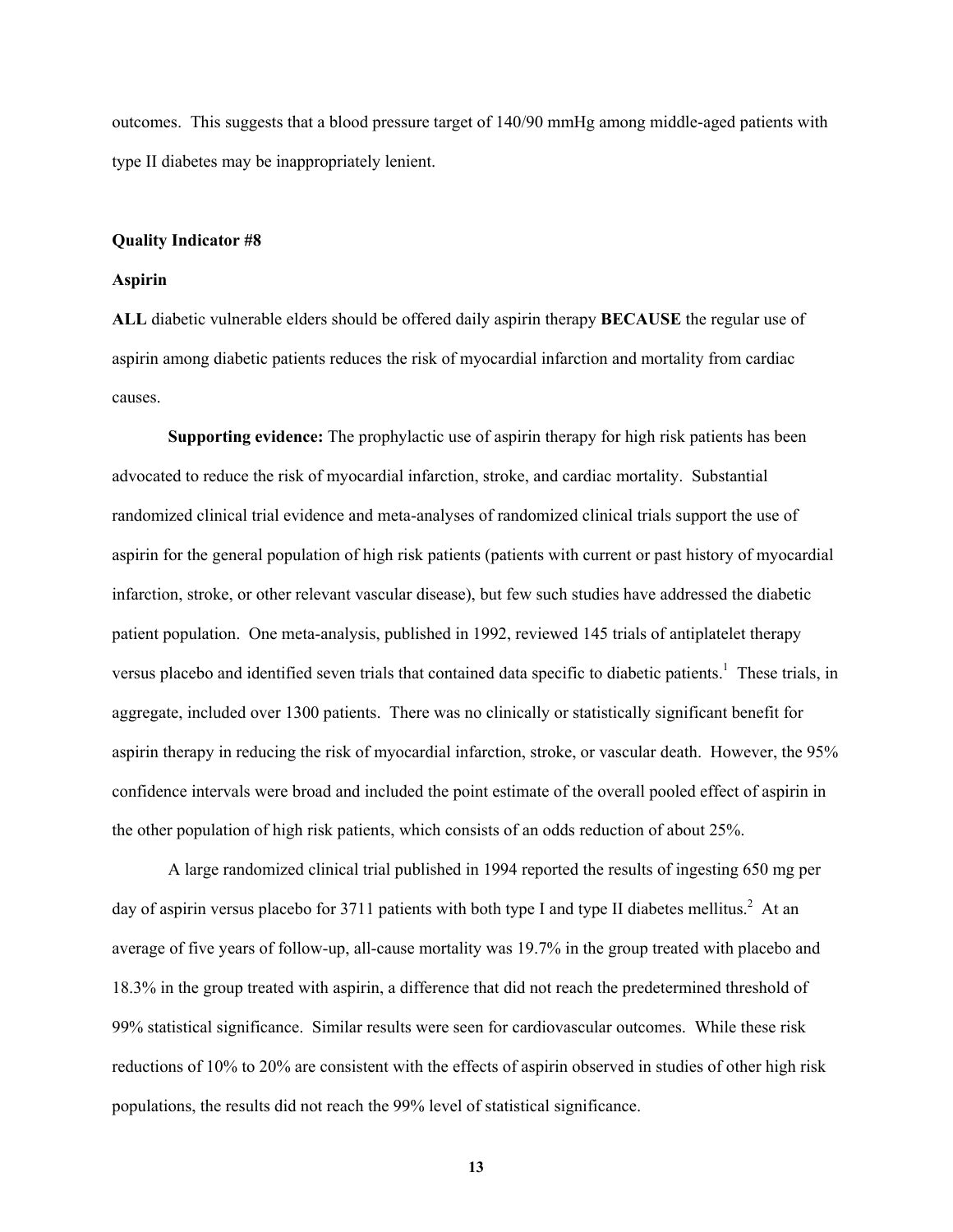outcomes. This suggests that a blood pressure target of 140/90 mmHg among middle-aged patients with type II diabetes may be inappropriately lenient.

#### **Quality Indicator #8**

#### **Aspirin**

**ALL** diabetic vulnerable elders should be offered daily aspirin therapy **BECAUSE** the regular use of aspirin among diabetic patients reduces the risk of myocardial infarction and mortality from cardiac causes.

**Supporting evidence:** The prophylactic use of aspirin therapy for high risk patients has been advocated to reduce the risk of myocardial infarction, stroke, and cardiac mortality. Substantial randomized clinical trial evidence and meta-analyses of randomized clinical trials support the use of aspirin for the general population of high risk patients (patients with current or past history of myocardial infarction, stroke, or other relevant vascular disease), but few such studies have addressed the diabetic patient population. One meta-analysis, published in 1992, reviewed 145 trials of antiplatelet therapy versus placebo and identified seven trials that contained data specific to diabetic patients.<sup>1</sup> These trials, in aggregate, included over 1300 patients. There was no clinically or statistically significant benefit for aspirin therapy in reducing the risk of myocardial infarction, stroke, or vascular death. However, the 95% confidence intervals were broad and included the point estimate of the overall pooled effect of aspirin in the other population of high risk patients, which consists of an odds reduction of about 25%.

A large randomized clinical trial published in 1994 reported the results of ingesting 650 mg per day of aspirin versus placebo for 3711 patients with both type I and type II diabetes mellitus.<sup>2</sup> At an average of five years of follow-up, all-cause mortality was 19.7% in the group treated with placebo and 18.3% in the group treated with aspirin, a difference that did not reach the predetermined threshold of 99% statistical significance. Similar results were seen for cardiovascular outcomes. While these risk reductions of 10% to 20% are consistent with the effects of aspirin observed in studies of other high risk populations, the results did not reach the 99% level of statistical significance.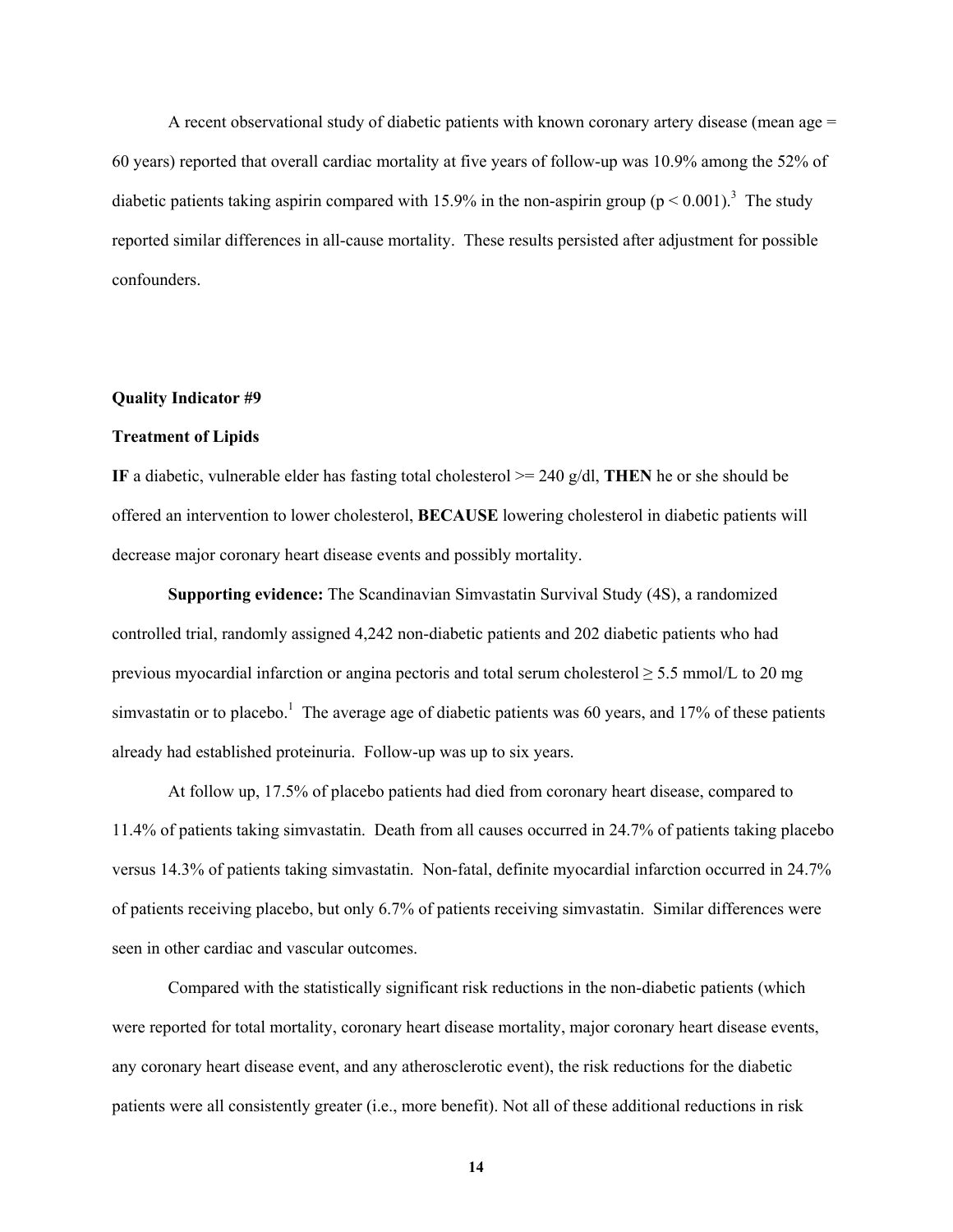A recent observational study of diabetic patients with known coronary artery disease (mean age = 60 years) reported that overall cardiac mortality at five years of follow-up was 10.9% among the 52% of diabetic patients taking aspirin compared with 15.9% in the non-aspirin group  $(p < 0.001)$ .<sup>3</sup> The study reported similar differences in all-cause mortality. These results persisted after adjustment for possible confounders.

#### **Quality Indicator #9**

### **Treatment of Lipids**

**IF** a diabetic, vulnerable elder has fasting total cholesterol  $\geq$  240 g/dl, **THEN** he or she should be offered an intervention to lower cholesterol, **BECAUSE** lowering cholesterol in diabetic patients will decrease major coronary heart disease events and possibly mortality.

**Supporting evidence:** The Scandinavian Simvastatin Survival Study (4S), a randomized controlled trial, randomly assigned 4,242 non-diabetic patients and 202 diabetic patients who had previous myocardial infarction or angina pectoris and total serum cholesterol  $\geq$  5.5 mmol/L to 20 mg simvastatin or to placebo.<sup>1</sup> The average age of diabetic patients was 60 years, and 17% of these patients already had established proteinuria. Follow-up was up to six years.

At follow up, 17.5% of placebo patients had died from coronary heart disease, compared to 11.4% of patients taking simvastatin. Death from all causes occurred in 24.7% of patients taking placebo versus 14.3% of patients taking simvastatin. Non-fatal, definite myocardial infarction occurred in 24.7% of patients receiving placebo, but only 6.7% of patients receiving simvastatin. Similar differences were seen in other cardiac and vascular outcomes.

Compared with the statistically significant risk reductions in the non-diabetic patients (which were reported for total mortality, coronary heart disease mortality, major coronary heart disease events, any coronary heart disease event, and any atherosclerotic event), the risk reductions for the diabetic patients were all consistently greater (i.e., more benefit). Not all of these additional reductions in risk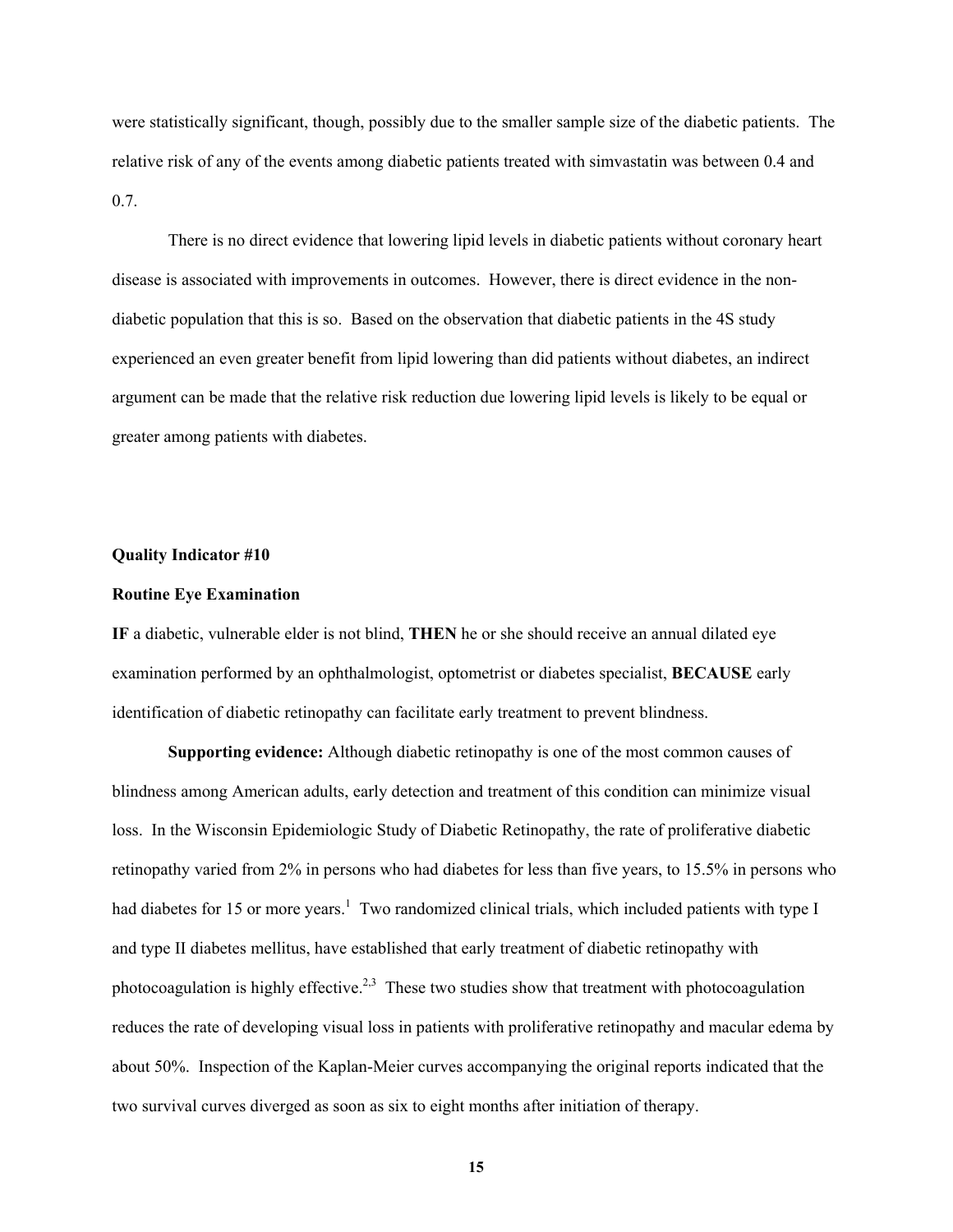were statistically significant, though, possibly due to the smaller sample size of the diabetic patients. The relative risk of any of the events among diabetic patients treated with simvastatin was between 0.4 and 0.7.

There is no direct evidence that lowering lipid levels in diabetic patients without coronary heart disease is associated with improvements in outcomes. However, there is direct evidence in the nondiabetic population that this is so. Based on the observation that diabetic patients in the 4S study experienced an even greater benefit from lipid lowering than did patients without diabetes, an indirect argument can be made that the relative risk reduction due lowering lipid levels is likely to be equal or greater among patients with diabetes.

### **Quality Indicator #10**

#### **Routine Eye Examination**

**IF** a diabetic, vulnerable elder is not blind, **THEN** he or she should receive an annual dilated eye examination performed by an ophthalmologist, optometrist or diabetes specialist, **BECAUSE** early identification of diabetic retinopathy can facilitate early treatment to prevent blindness.

**Supporting evidence:** Although diabetic retinopathy is one of the most common causes of blindness among American adults, early detection and treatment of this condition can minimize visual loss. In the Wisconsin Epidemiologic Study of Diabetic Retinopathy, the rate of proliferative diabetic retinopathy varied from 2% in persons who had diabetes for less than five years, to 15.5% in persons who had diabetes for 15 or more years.<sup>1</sup> Two randomized clinical trials, which included patients with type I and type II diabetes mellitus, have established that early treatment of diabetic retinopathy with photocoagulation is highly effective.<sup>2,3</sup> These two studies show that treatment with photocoagulation reduces the rate of developing visual loss in patients with proliferative retinopathy and macular edema by about 50%. Inspection of the Kaplan-Meier curves accompanying the original reports indicated that the two survival curves diverged as soon as six to eight months after initiation of therapy.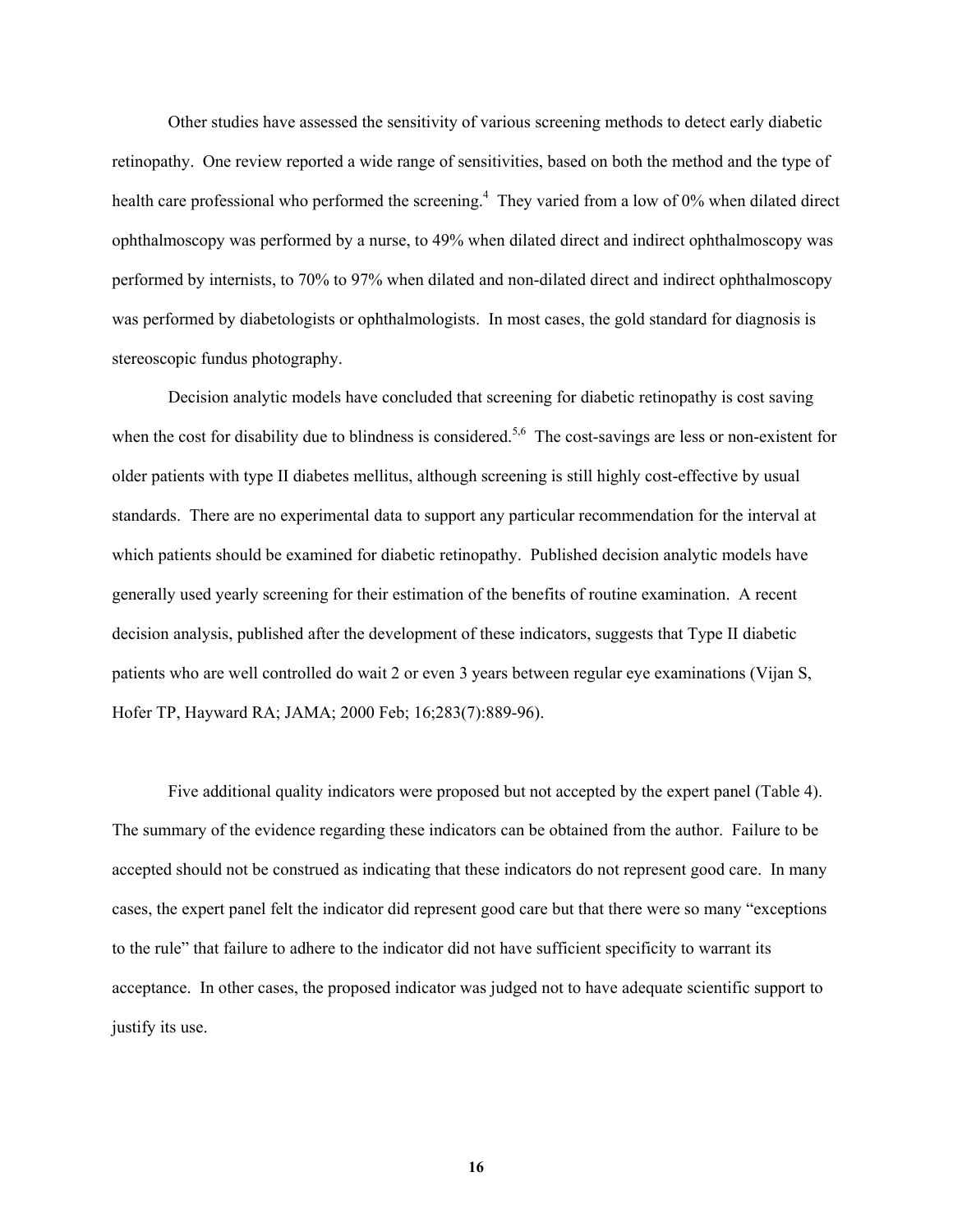Other studies have assessed the sensitivity of various screening methods to detect early diabetic retinopathy. One review reported a wide range of sensitivities, based on both the method and the type of health care professional who performed the screening.<sup>4</sup> They varied from a low of 0% when dilated direct ophthalmoscopy was performed by a nurse, to 49% when dilated direct and indirect ophthalmoscopy was performed by internists, to 70% to 97% when dilated and non-dilated direct and indirect ophthalmoscopy was performed by diabetologists or ophthalmologists. In most cases, the gold standard for diagnosis is stereoscopic fundus photography.

Decision analytic models have concluded that screening for diabetic retinopathy is cost saving when the cost for disability due to blindness is considered.<sup>5,6</sup> The cost-savings are less or non-existent for older patients with type II diabetes mellitus, although screening is still highly cost-effective by usual standards. There are no experimental data to support any particular recommendation for the interval at which patients should be examined for diabetic retinopathy. Published decision analytic models have generally used yearly screening for their estimation of the benefits of routine examination. A recent decision analysis, published after the development of these indicators, suggests that Type II diabetic patients who are well controlled do wait 2 or even 3 years between regular eye examinations (Vijan S, Hofer TP, Hayward RA; JAMA; 2000 Feb; 16;283(7):889-96).

Five additional quality indicators were proposed but not accepted by the expert panel (Table 4). The summary of the evidence regarding these indicators can be obtained from the author. Failure to be accepted should not be construed as indicating that these indicators do not represent good care. In many cases, the expert panel felt the indicator did represent good care but that there were so many "exceptions to the rule" that failure to adhere to the indicator did not have sufficient specificity to warrant its acceptance. In other cases, the proposed indicator was judged not to have adequate scientific support to justify its use.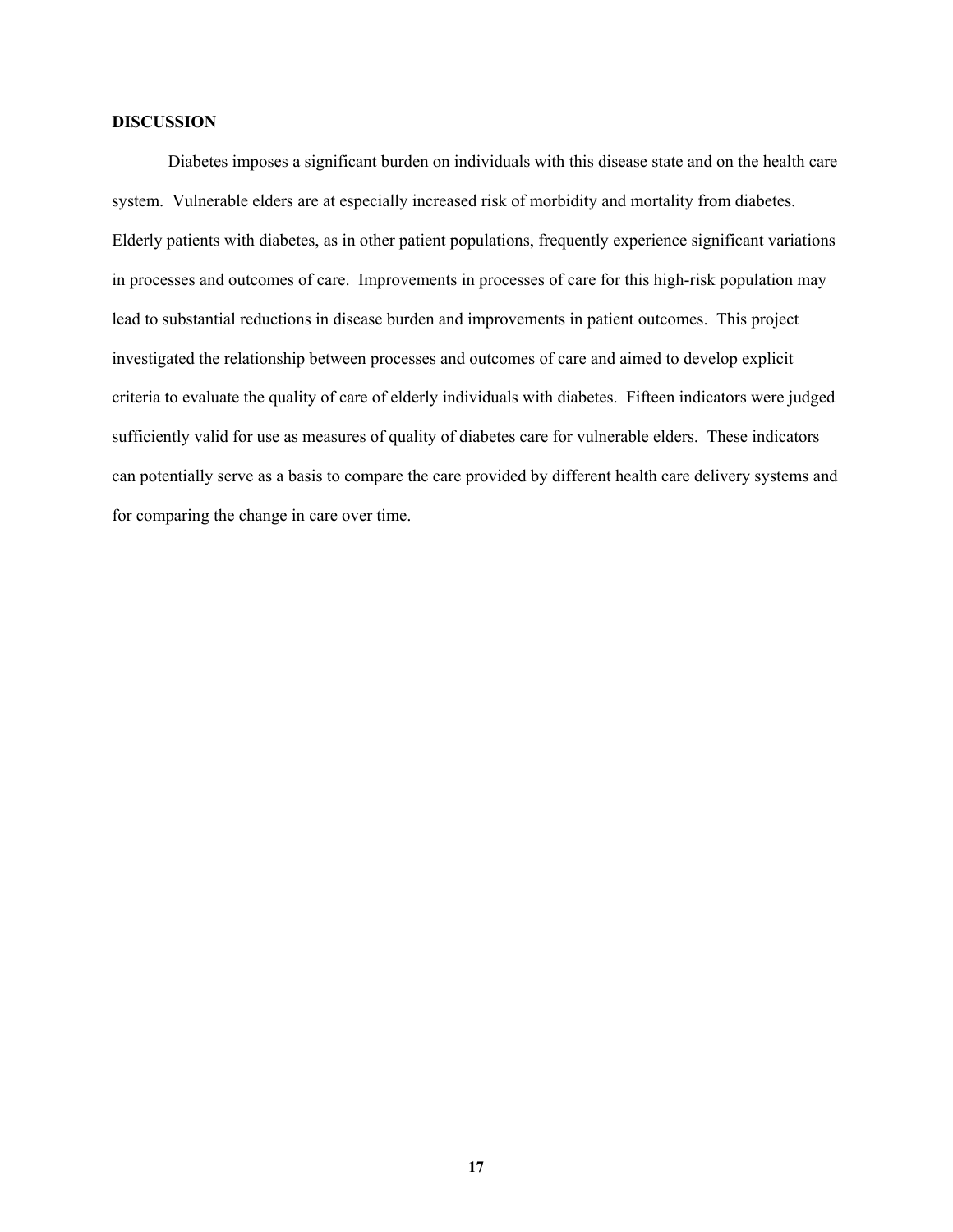### **DISCUSSION**

Diabetes imposes a significant burden on individuals with this disease state and on the health care system. Vulnerable elders are at especially increased risk of morbidity and mortality from diabetes. Elderly patients with diabetes, as in other patient populations, frequently experience significant variations in processes and outcomes of care. Improvements in processes of care for this high-risk population may lead to substantial reductions in disease burden and improvements in patient outcomes. This project investigated the relationship between processes and outcomes of care and aimed to develop explicit criteria to evaluate the quality of care of elderly individuals with diabetes. Fifteen indicators were judged sufficiently valid for use as measures of quality of diabetes care for vulnerable elders. These indicators can potentially serve as a basis to compare the care provided by different health care delivery systems and for comparing the change in care over time.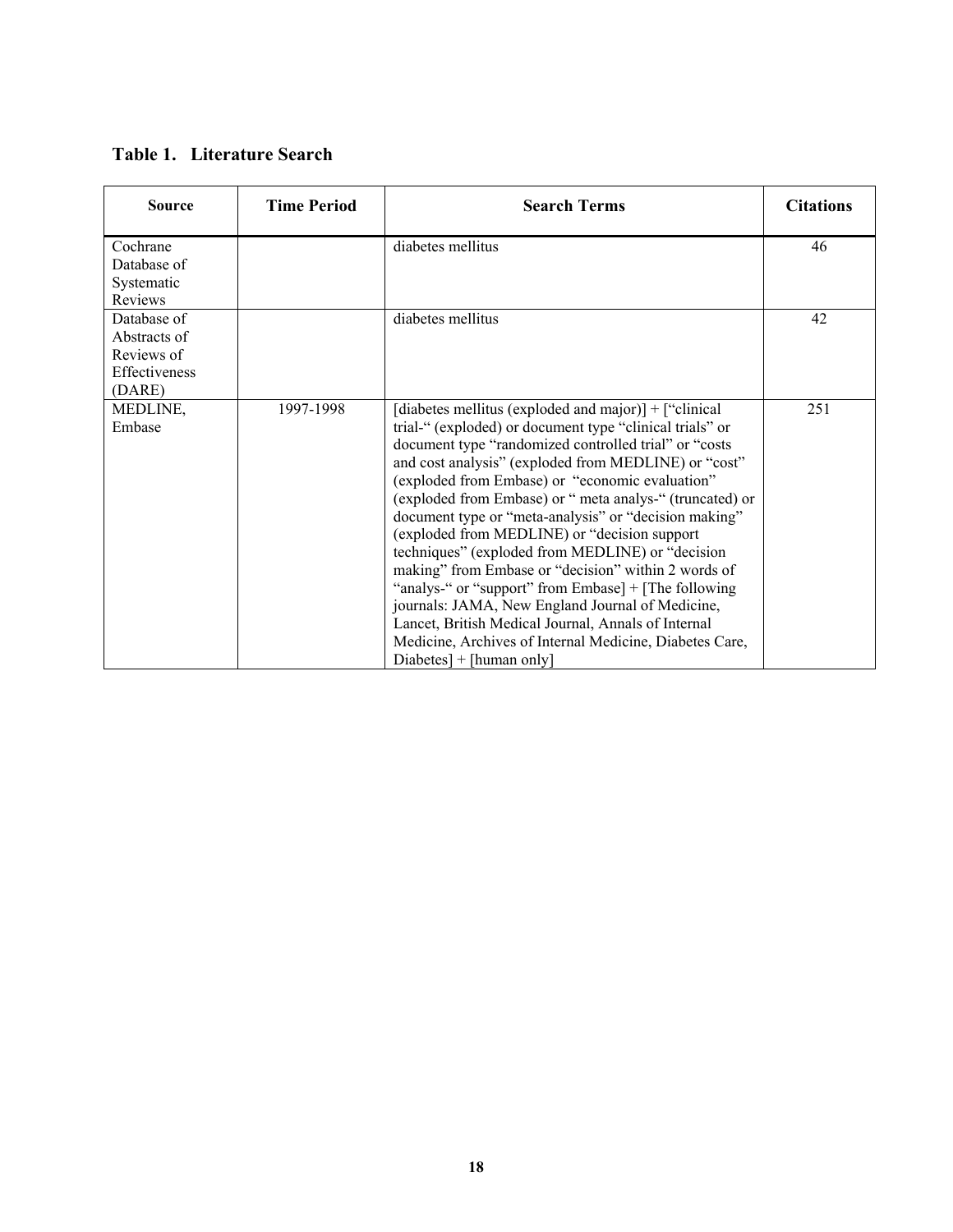### **Table 1. Literature Search**

| <b>Source</b>                                                        | <b>Time Period</b> | <b>Search Terms</b>                                                                                                                                                                                                                                                                                                                                                                                                                                                                                                                                                                                                                                                                                                                                                                                                               | <b>Citations</b> |
|----------------------------------------------------------------------|--------------------|-----------------------------------------------------------------------------------------------------------------------------------------------------------------------------------------------------------------------------------------------------------------------------------------------------------------------------------------------------------------------------------------------------------------------------------------------------------------------------------------------------------------------------------------------------------------------------------------------------------------------------------------------------------------------------------------------------------------------------------------------------------------------------------------------------------------------------------|------------------|
| Cochrane<br>Database of<br>Systematic<br>Reviews                     |                    | diabetes mellitus                                                                                                                                                                                                                                                                                                                                                                                                                                                                                                                                                                                                                                                                                                                                                                                                                 | 46               |
| Database of<br>Abstracts of<br>Reviews of<br>Effectiveness<br>(DARE) |                    | diabetes mellitus                                                                                                                                                                                                                                                                                                                                                                                                                                                                                                                                                                                                                                                                                                                                                                                                                 | 42               |
| MEDLINE,<br>Embase                                                   | 1997-1998          | [diabetes mellitus (exploded and major)] + ["clinical]<br>trial-" (exploded) or document type "clinical trials" or<br>document type "randomized controlled trial" or "costs<br>and cost analysis" (exploded from MEDLINE) or "cost"<br>(exploded from Embase) or "economic evaluation"<br>(exploded from Embase) or "meta analys-" (truncated) or<br>document type or "meta-analysis" or "decision making"<br>(exploded from MEDLINE) or "decision support"<br>techniques" (exploded from MEDLINE) or "decision<br>making" from Embase or "decision" within 2 words of<br>"analys-" or "support" from Embase] + [The following<br>journals: JAMA, New England Journal of Medicine,<br>Lancet, British Medical Journal, Annals of Internal<br>Medicine, Archives of Internal Medicine, Diabetes Care,<br>$Diabetes$ + [human only] | 251              |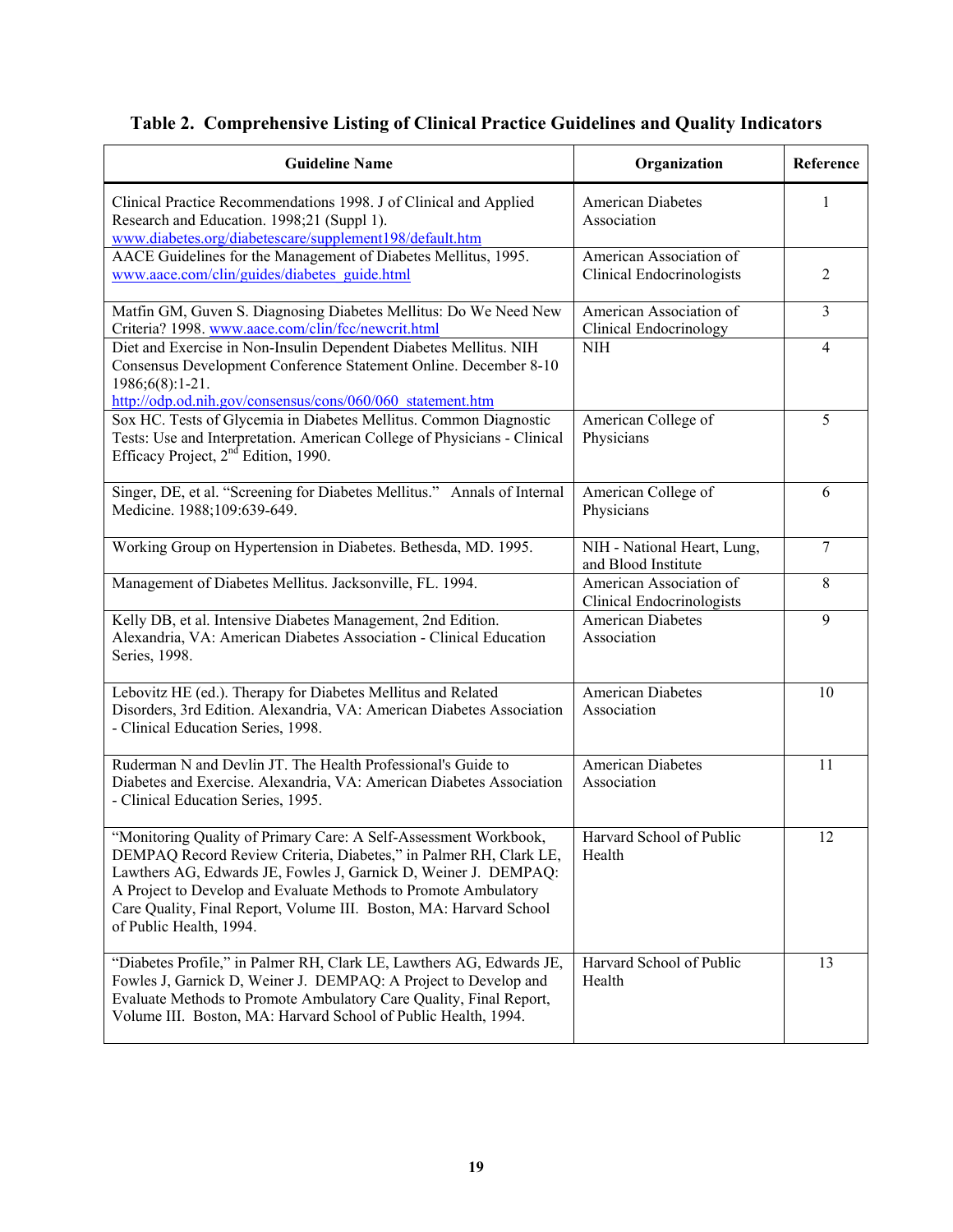|  |  |  |  | Table 2. Comprehensive Listing of Clinical Practice Guidelines and Quality Indicators |
|--|--|--|--|---------------------------------------------------------------------------------------|
|--|--|--|--|---------------------------------------------------------------------------------------|

| <b>Guideline Name</b>                                                                                                                                                                                                                                                                                                                                                        | Organization                                                | Reference      |
|------------------------------------------------------------------------------------------------------------------------------------------------------------------------------------------------------------------------------------------------------------------------------------------------------------------------------------------------------------------------------|-------------------------------------------------------------|----------------|
| Clinical Practice Recommendations 1998. J of Clinical and Applied<br>Research and Education. 1998;21 (Suppl 1).<br>www.diabetes.org/diabetescare/supplement198/default.htm                                                                                                                                                                                                   | <b>American Diabetes</b><br>Association                     | 1              |
| AACE Guidelines for the Management of Diabetes Mellitus, 1995.<br>www.aace.com/clin/guides/diabetes_guide.html                                                                                                                                                                                                                                                               | American Association of<br>Clinical Endocrinologists        | $\overline{2}$ |
| Matfin GM, Guven S. Diagnosing Diabetes Mellitus: Do We Need New<br>Criteria? 1998. www.aace.com/clin/fcc/newcrit.html                                                                                                                                                                                                                                                       | American Association of<br>Clinical Endocrinology           | $\mathfrak{Z}$ |
| Diet and Exercise in Non-Insulin Dependent Diabetes Mellitus. NIH<br>Consensus Development Conference Statement Online. December 8-10<br>1986;6(8):1-21.<br>http://odp.od.nih.gov/consensus/cons/060/060 statement.htm                                                                                                                                                       | <b>NIH</b>                                                  | $\overline{4}$ |
| Sox HC. Tests of Glycemia in Diabetes Mellitus. Common Diagnostic<br>Tests: Use and Interpretation. American College of Physicians - Clinical<br>Efficacy Project, 2 <sup>nd</sup> Edition, 1990.                                                                                                                                                                            | American College of<br>Physicians                           | 5              |
| Singer, DE, et al. "Screening for Diabetes Mellitus." Annals of Internal<br>Medicine. 1988;109:639-649.                                                                                                                                                                                                                                                                      | American College of<br>Physicians                           | 6              |
| Working Group on Hypertension in Diabetes. Bethesda, MD. 1995.                                                                                                                                                                                                                                                                                                               | NIH - National Heart, Lung,<br>and Blood Institute          | 7              |
| Management of Diabetes Mellitus. Jacksonville, FL. 1994.                                                                                                                                                                                                                                                                                                                     | American Association of<br><b>Clinical Endocrinologists</b> | 8              |
| Kelly DB, et al. Intensive Diabetes Management, 2nd Edition.<br>Alexandria, VA: American Diabetes Association - Clinical Education<br>Series, 1998.                                                                                                                                                                                                                          | <b>American Diabetes</b><br>Association                     | 9              |
| Lebovitz HE (ed.). Therapy for Diabetes Mellitus and Related<br>Disorders, 3rd Edition. Alexandria, VA: American Diabetes Association<br>- Clinical Education Series, 1998.                                                                                                                                                                                                  | <b>American Diabetes</b><br>Association                     | 10             |
| Ruderman N and Devlin JT. The Health Professional's Guide to<br>Diabetes and Exercise. Alexandria, VA: American Diabetes Association<br>- Clinical Education Series, 1995.                                                                                                                                                                                                   | American Diabetes<br>Association                            | 11             |
| "Monitoring Quality of Primary Care: A Self-Assessment Workbook,<br>DEMPAQ Record Review Criteria, Diabetes," in Palmer RH, Clark LE,<br>Lawthers AG, Edwards JE, Fowles J, Garnick D, Weiner J. DEMPAQ:<br>A Project to Develop and Evaluate Methods to Promote Ambulatory<br>Care Quality, Final Report, Volume III. Boston, MA: Harvard School<br>of Public Health, 1994. | Harvard School of Public<br>Health                          | 12             |
| "Diabetes Profile," in Palmer RH, Clark LE, Lawthers AG, Edwards JE,<br>Fowles J, Garnick D, Weiner J. DEMPAQ: A Project to Develop and<br>Evaluate Methods to Promote Ambulatory Care Quality, Final Report,<br>Volume III. Boston, MA: Harvard School of Public Health, 1994.                                                                                              | Harvard School of Public<br>Health                          | 13             |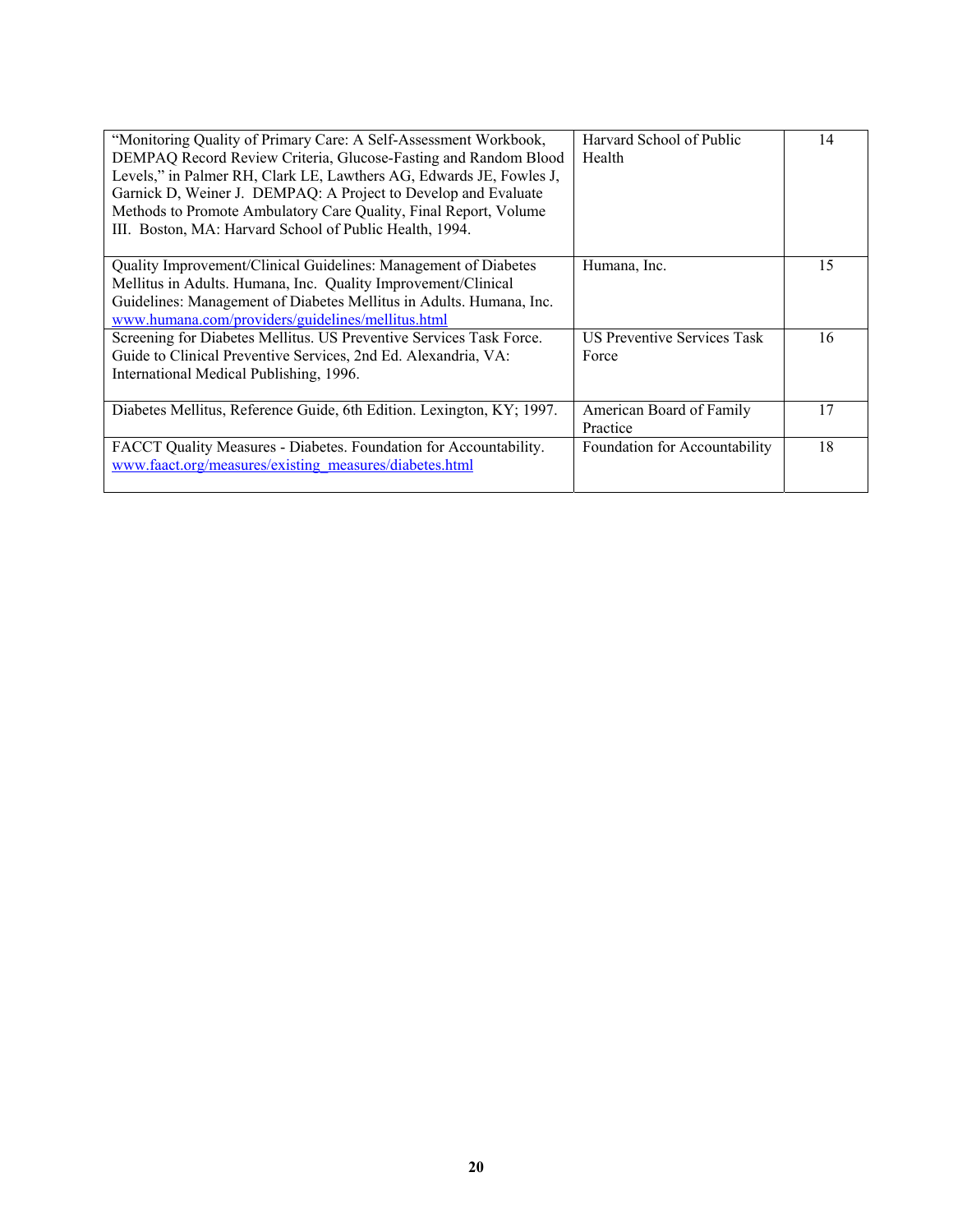| "Monitoring Quality of Primary Care: A Self-Assessment Workbook,<br>DEMPAQ Record Review Criteria, Glucose-Fasting and Random Blood<br>Levels," in Palmer RH, Clark LE, Lawthers AG, Edwards JE, Fowles J,<br>Garnick D, Weiner J. DEMPAQ: A Project to Develop and Evaluate<br>Methods to Promote Ambulatory Care Quality, Final Report, Volume<br>III. Boston, MA: Harvard School of Public Health, 1994. | Harvard School of Public<br>Health          | 14 |
|-------------------------------------------------------------------------------------------------------------------------------------------------------------------------------------------------------------------------------------------------------------------------------------------------------------------------------------------------------------------------------------------------------------|---------------------------------------------|----|
| Quality Improvement/Clinical Guidelines: Management of Diabetes<br>Mellitus in Adults. Humana, Inc. Quality Improvement/Clinical<br>Guidelines: Management of Diabetes Mellitus in Adults. Humana, Inc.<br>www.humana.com/providers/guidelines/mellitus.html                                                                                                                                                | Humana, Inc.                                | 15 |
| Screening for Diabetes Mellitus. US Preventive Services Task Force.<br>Guide to Clinical Preventive Services, 2nd Ed. Alexandria, VA:<br>International Medical Publishing, 1996.                                                                                                                                                                                                                            | <b>US Preventive Services Task</b><br>Force | 16 |
| Diabetes Mellitus, Reference Guide, 6th Edition. Lexington, KY; 1997.                                                                                                                                                                                                                                                                                                                                       | American Board of Family<br>Practice        | 17 |
| FACCT Quality Measures - Diabetes. Foundation for Accountability.<br>www.faact.org/measures/existing_measures/diabetes.html                                                                                                                                                                                                                                                                                 | Foundation for Accountability               | 18 |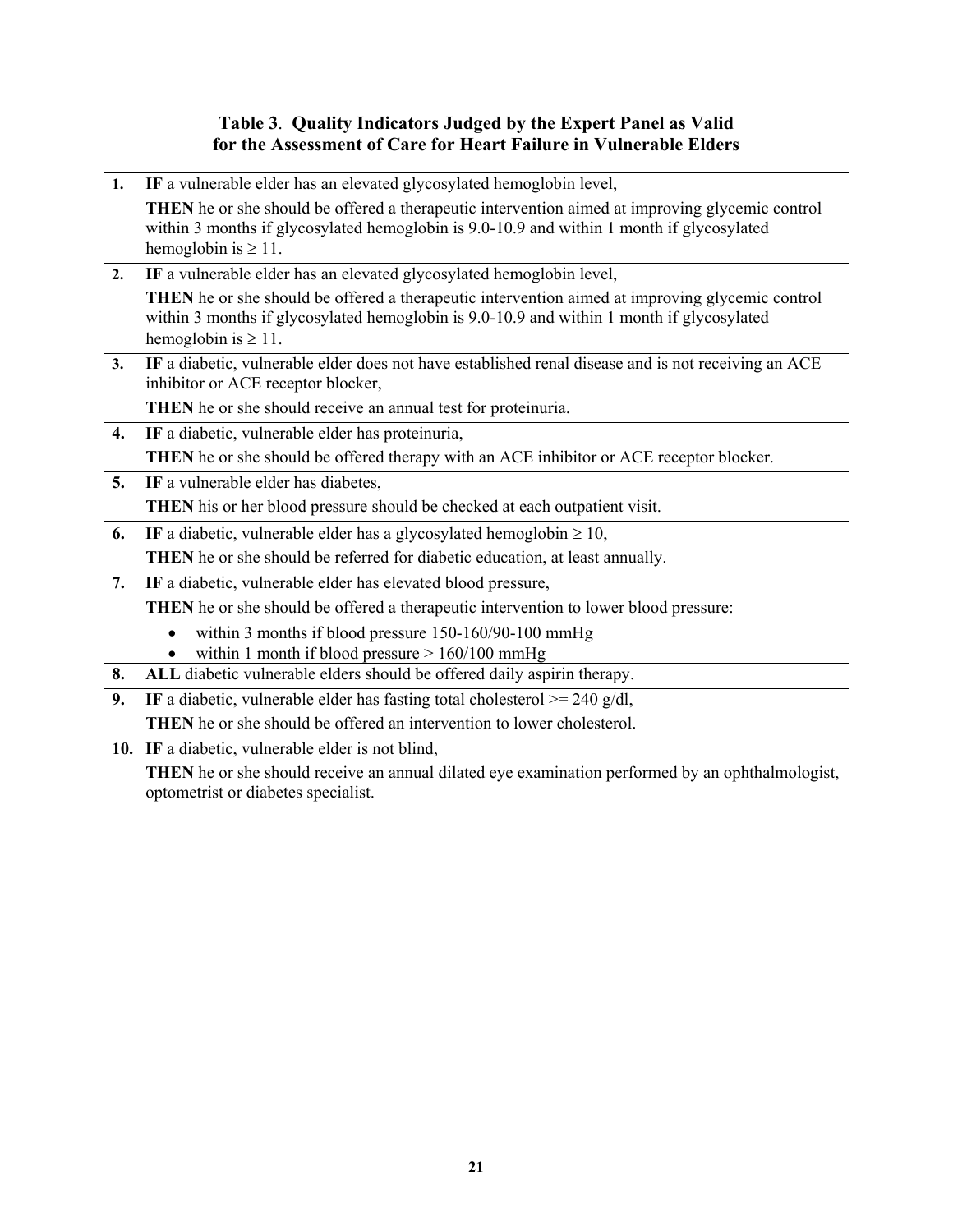### **Table 3**. **Quality Indicators Judged by the Expert Panel as Valid for the Assessment of Care for Heart Failure in Vulnerable Elders**

| 1. | IF a vulnerable elder has an elevated glycosylated hemoglobin level,                                                                                                                                                             |
|----|----------------------------------------------------------------------------------------------------------------------------------------------------------------------------------------------------------------------------------|
|    | <b>THEN</b> he or she should be offered a therapeutic intervention aimed at improving glycemic control<br>within 3 months if glycosylated hemoglobin is 9.0-10.9 and within 1 month if glycosylated<br>hemoglobin is $\geq 11$ . |
| 2. | IF a vulnerable elder has an elevated glycosylated hemoglobin level,                                                                                                                                                             |
|    | <b>THEN</b> he or she should be offered a therapeutic intervention aimed at improving glycemic control<br>within 3 months if glycosylated hemoglobin is 9.0-10.9 and within 1 month if glycosylated<br>hemoglobin is $\geq 11$ . |
| 3. | IF a diabetic, vulnerable elder does not have established renal disease and is not receiving an ACE<br>inhibitor or ACE receptor blocker,                                                                                        |
|    | THEN he or she should receive an annual test for proteinuria.                                                                                                                                                                    |
| 4. | IF a diabetic, vulnerable elder has proteinuria,                                                                                                                                                                                 |
|    | THEN he or she should be offered therapy with an ACE inhibitor or ACE receptor blocker.                                                                                                                                          |
| 5. | IF a vulnerable elder has diabetes,                                                                                                                                                                                              |
|    | <b>THEN</b> his or her blood pressure should be checked at each outpatient visit.                                                                                                                                                |
| 6. | IF a diabetic, vulnerable elder has a glycosylated hemoglobin $\geq 10$ ,                                                                                                                                                        |
|    | <b>THEN</b> he or she should be referred for diabetic education, at least annually.                                                                                                                                              |
| 7. | IF a diabetic, vulnerable elder has elevated blood pressure,                                                                                                                                                                     |
|    | <b>THEN</b> he or she should be offered a therapeutic intervention to lower blood pressure:                                                                                                                                      |
|    | within 3 months if blood pressure 150-160/90-100 mmHg                                                                                                                                                                            |
|    | within 1 month if blood pressure $> 160/100$ mmHg                                                                                                                                                                                |
| 8. | ALL diabetic vulnerable elders should be offered daily aspirin therapy.                                                                                                                                                          |
| 9. | IF a diabetic, vulnerable elder has fasting total cholesterol $>= 240$ g/dl,                                                                                                                                                     |
|    | THEN he or she should be offered an intervention to lower cholesterol.                                                                                                                                                           |
|    | 10. IF a diabetic, vulnerable elder is not blind,                                                                                                                                                                                |
|    | <b>THEN</b> he or she should receive an annual dilated eye examination performed by an ophthalmologist,<br>optometrist or diabetes specialist.                                                                                   |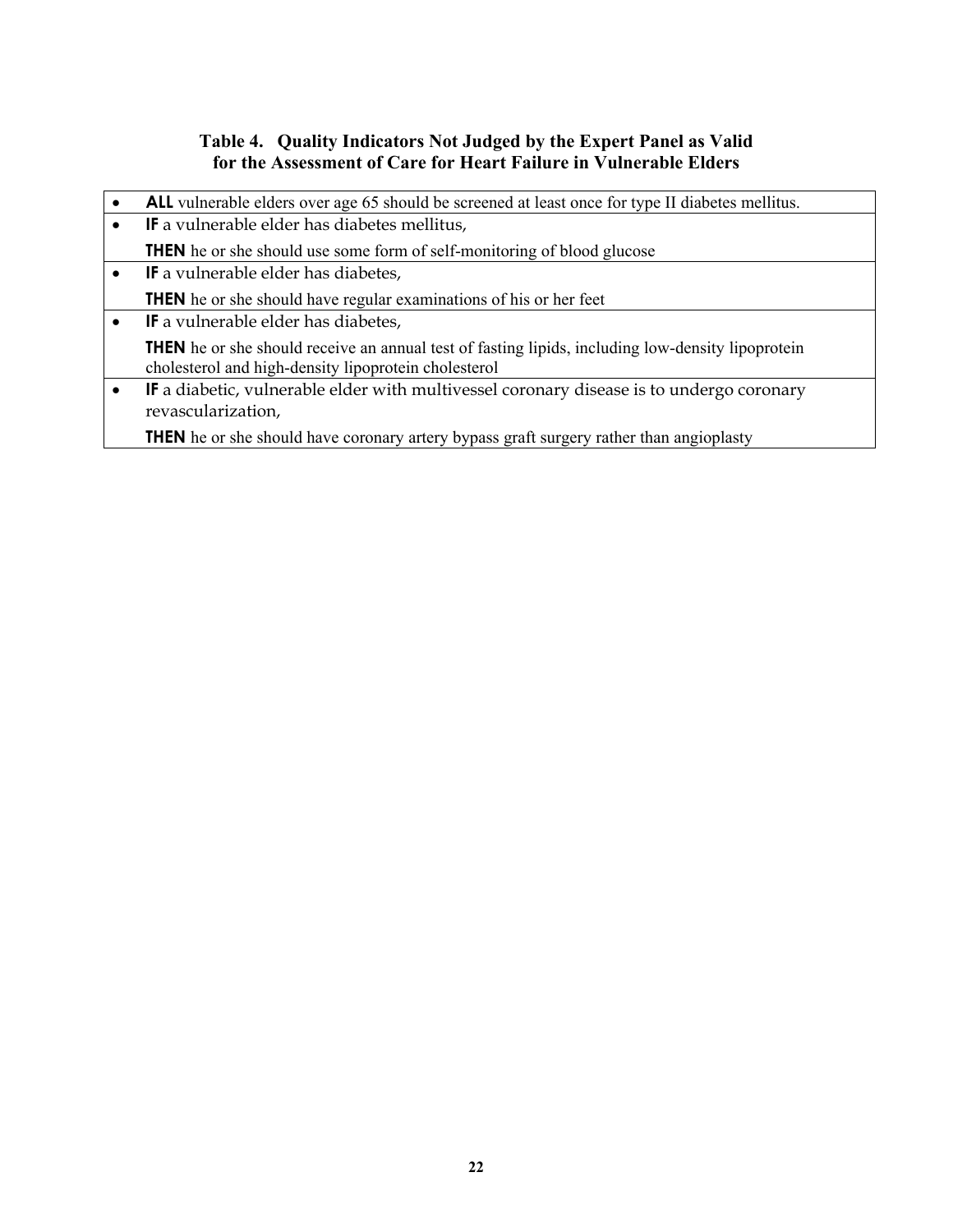### **Table 4. Quality Indicators Not Judged by the Expert Panel as Valid for the Assessment of Care for Heart Failure in Vulnerable Elders**

| ALL vulnerable elders over age 65 should be screened at least once for type II diabetes mellitus.                                                                |
|------------------------------------------------------------------------------------------------------------------------------------------------------------------|
| IF a vulnerable elder has diabetes mellitus,                                                                                                                     |
| <b>THEN</b> he or she should use some form of self-monitoring of blood glucose                                                                                   |
| <b>IF</b> a vulnerable elder has diabetes,                                                                                                                       |
| <b>THEN</b> he or she should have regular examinations of his or her feet                                                                                        |
| <b>IF</b> a vulnerable elder has diabetes,                                                                                                                       |
| <b>THEN</b> he or she should receive an annual test of fasting lipids, including low-density lipoprotein<br>cholesterol and high-density lipoprotein cholesterol |
| <b>IF</b> a diabetic, vulnerable elder with multivessel coronary disease is to undergo coronary<br>revascularization,                                            |
| <b>THEN</b> he or she should have coronary artery bypass graft surgery rather than angioplasty                                                                   |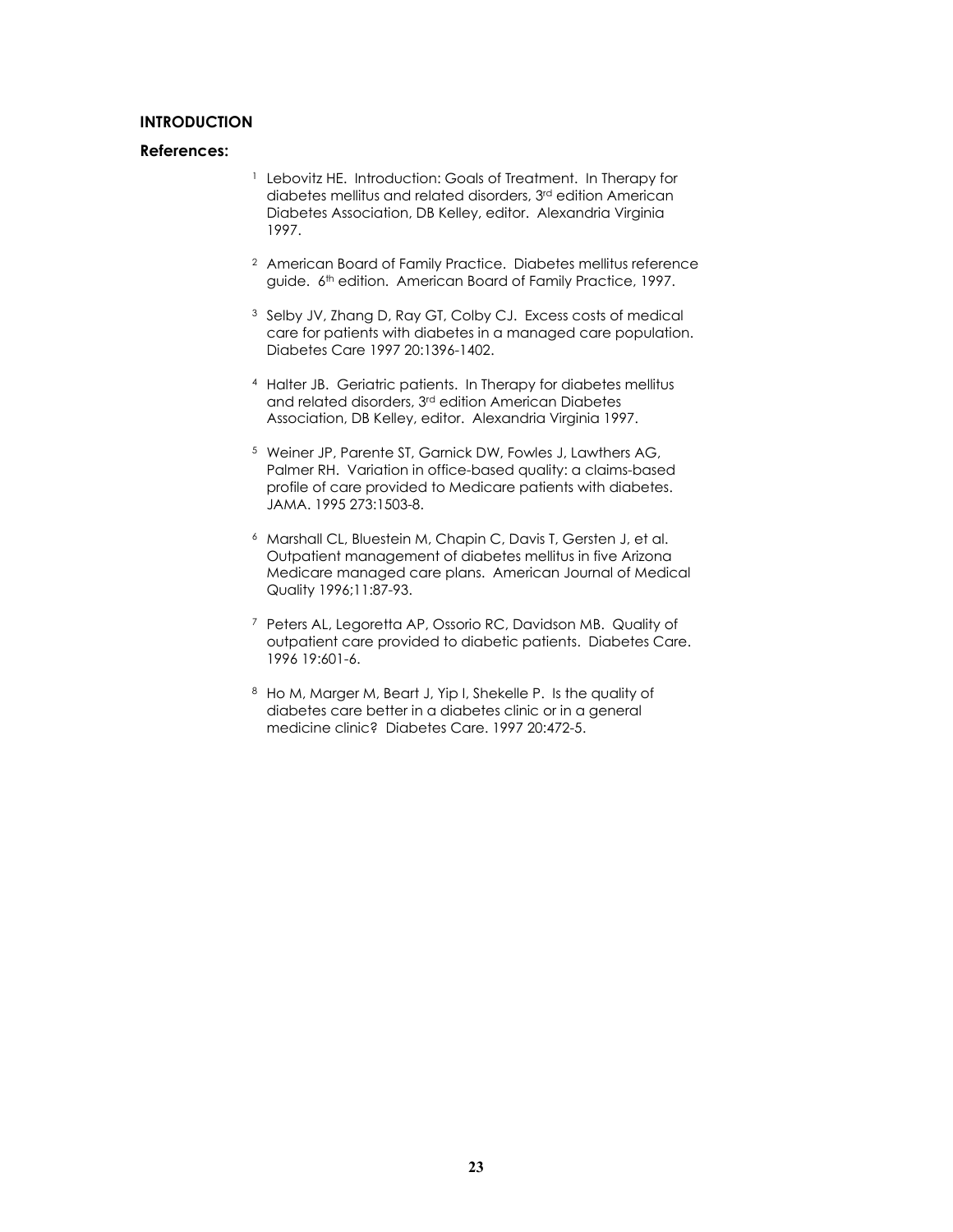### **INTRODUCTION**

- <sup>1</sup> Lebovitz HE. Introduction: Goals of Treatment. In Therapy for diabetes mellitus and related disorders, 3<sup>rd</sup> edition American Diabetes Association, DB Kelley, editor. Alexandria Virginia 1997.
- 2 American Board of Family Practice. Diabetes mellitus reference guide. 6<sup>th</sup> edition. American Board of Family Practice, 1997.
- 3 Selby JV, Zhang D, Ray GT, Colby CJ. Excess costs of medical care for patients with diabetes in a managed care population. Diabetes Care 1997 20:1396-1402.
- 4 Halter JB. Geriatric patients. In Therapy for diabetes mellitus and related disorders, 3rd edition American Diabetes Association, DB Kelley, editor. Alexandria Virginia 1997.
- 5 Weiner JP, Parente ST, Garnick DW, Fowles J, Lawthers AG, Palmer RH. Variation in office-based quality: a claims-based profile of care provided to Medicare patients with diabetes. JAMA. 1995 273:1503-8.
- 6 Marshall CL, Bluestein M, Chapin C, Davis T, Gersten J, et al. Outpatient management of diabetes mellitus in five Arizona Medicare managed care plans. American Journal of Medical Quality 1996;11:87-93.
- 7 Peters AL, Legoretta AP, Ossorio RC, Davidson MB. Quality of outpatient care provided to diabetic patients. Diabetes Care. 1996 19:601-6.
- 8 Ho M, Marger M, Beart J, Yip I, Shekelle P. Is the quality of diabetes care better in a diabetes clinic or in a general medicine clinic? Diabetes Care. 1997 20:472-5.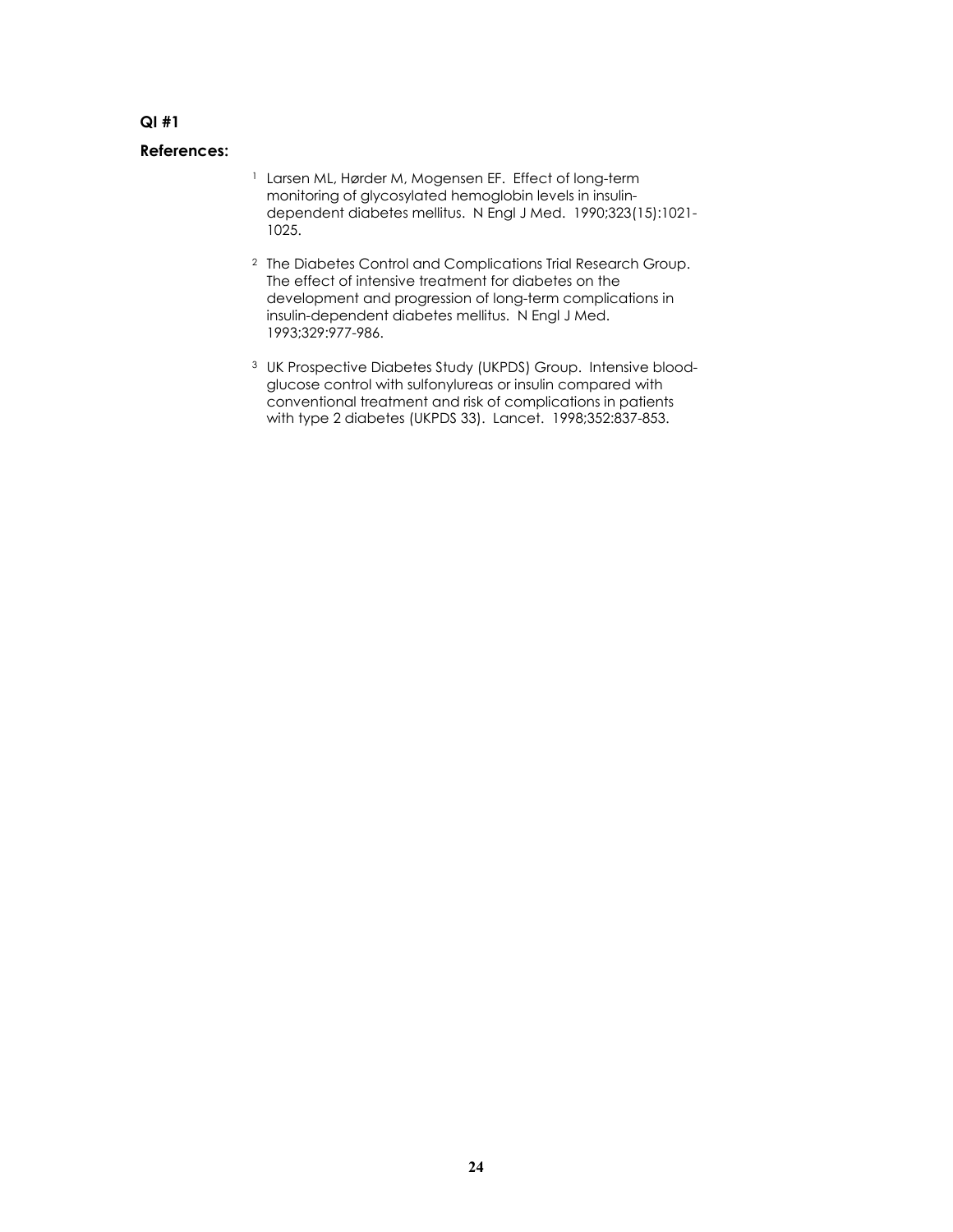- 1 Larsen ML, Hørder M, Mogensen EF. Effect of long-term monitoring of glycosylated hemoglobin levels in insulindependent diabetes mellitus. N Engl J Med. 1990;323(15):1021- 1025.
- 2 The Diabetes Control and Complications Trial Research Group. The effect of intensive treatment for diabetes on the development and progression of long-term complications in insulin-dependent diabetes mellitus. N Engl J Med. 1993;329:977-986.
- <sup>3</sup> UK Prospective Diabetes Study (UKPDS) Group. Intensive bloodglucose control with sulfonylureas or insulin compared with conventional treatment and risk of complications in patients with type 2 diabetes (UKPDS 33). Lancet. 1998;352:837-853.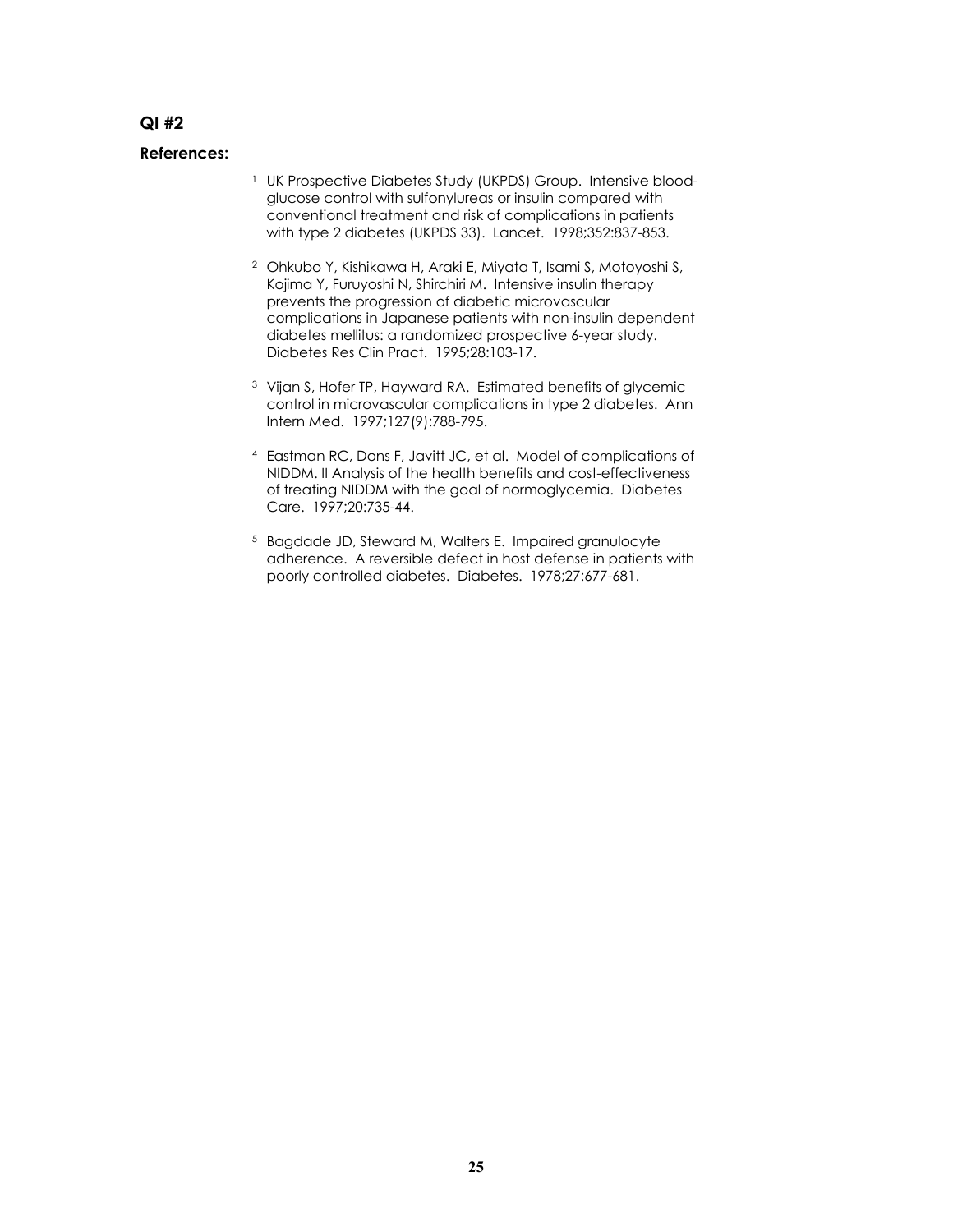- <sup>1</sup> UK Prospective Diabetes Study (UKPDS) Group. Intensive bloodglucose control with sulfonylureas or insulin compared with conventional treatment and risk of complications in patients with type 2 diabetes (UKPDS 33). Lancet. 1998;352:837-853.
- 2 Ohkubo Y, Kishikawa H, Araki E, Miyata T, Isami S, Motoyoshi S, Kojima Y, Furuyoshi N, Shirchiri M. Intensive insulin therapy prevents the progression of diabetic microvascular complications in Japanese patients with non-insulin dependent diabetes mellitus: a randomized prospective 6-year study. Diabetes Res Clin Pract. 1995;28:103-17.
- 3 Vijan S, Hofer TP, Hayward RA. Estimated benefits of glycemic control in microvascular complications in type 2 diabetes. Ann Intern Med. 1997;127(9):788-795.
- 4 Eastman RC, Dons F, Javitt JC, et al. Model of complications of NIDDM. II Analysis of the health benefits and cost-effectiveness of treating NIDDM with the goal of normoglycemia. Diabetes Care. 1997;20:735-44.
- 5 Bagdade JD, Steward M, Walters E. Impaired granulocyte adherence. A reversible defect in host defense in patients with poorly controlled diabetes. Diabetes. 1978;27:677-681.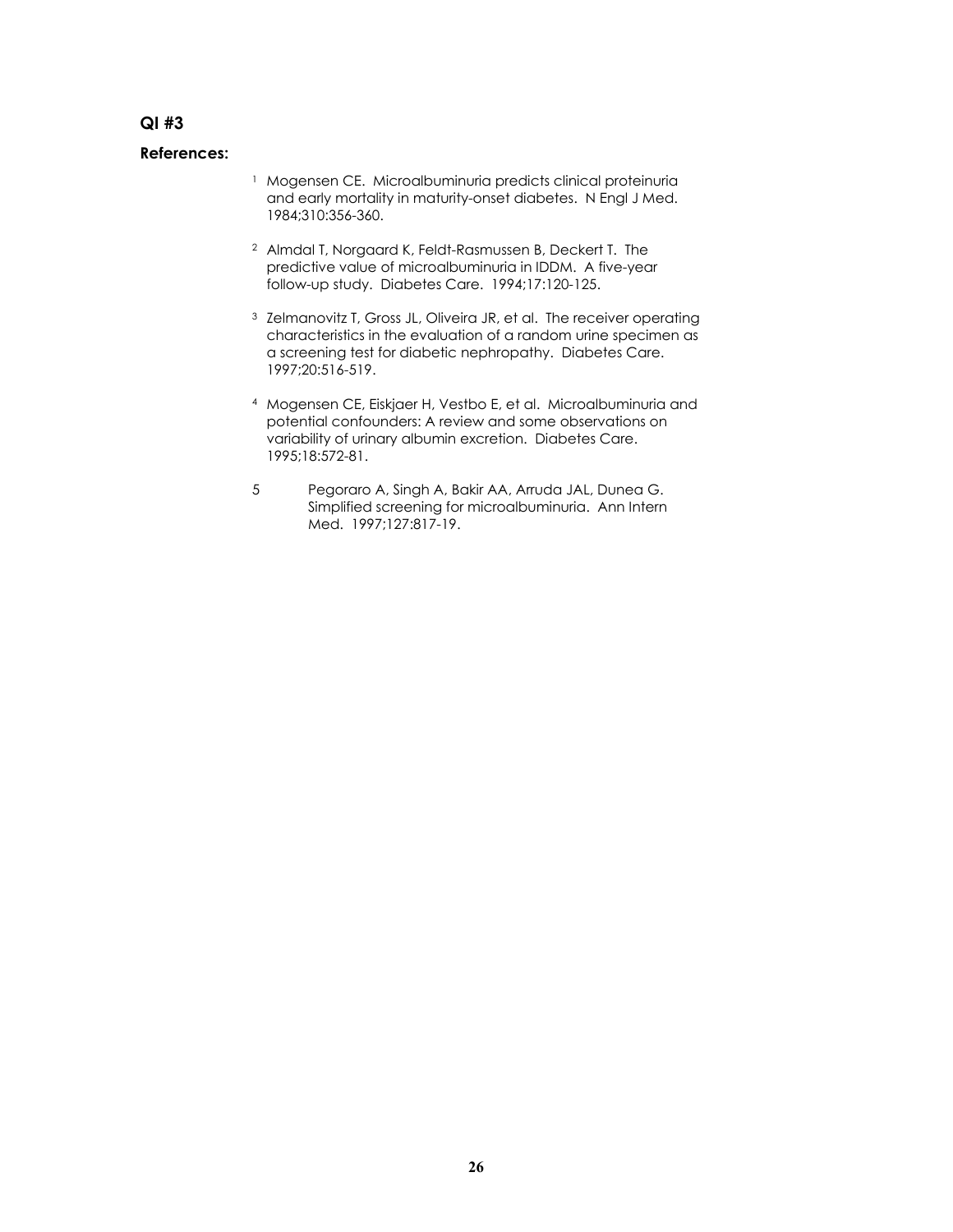- <sup>1</sup> Mogensen CE. Microalbuminuria predicts clinical proteinuria and early mortality in maturity-onset diabetes. N Engl J Med. 1984;310:356-360.
- 2 Almdal T, Norgaard K, Feldt-Rasmussen B, Deckert T. The predictive value of microalbuminuria in IDDM. A five-year follow-up study. Diabetes Care. 1994;17:120-125.
- <sup>3</sup> Zelmanovitz T, Gross JL, Oliveira JR, et al. The receiver operating characteristics in the evaluation of a random urine specimen as a screening test for diabetic nephropathy. Diabetes Care. 1997;20:516-519.
- 4 Mogensen CE, Eiskjaer H, Vestbo E, et al. Microalbuminuria and potential confounders: A review and some observations on variability of urinary albumin excretion. Diabetes Care. 1995;18:572-81.
- 5 Pegoraro A, Singh A, Bakir AA, Arruda JAL, Dunea G. Simplified screening for microalbuminuria. Ann Intern Med. 1997;127:817-19.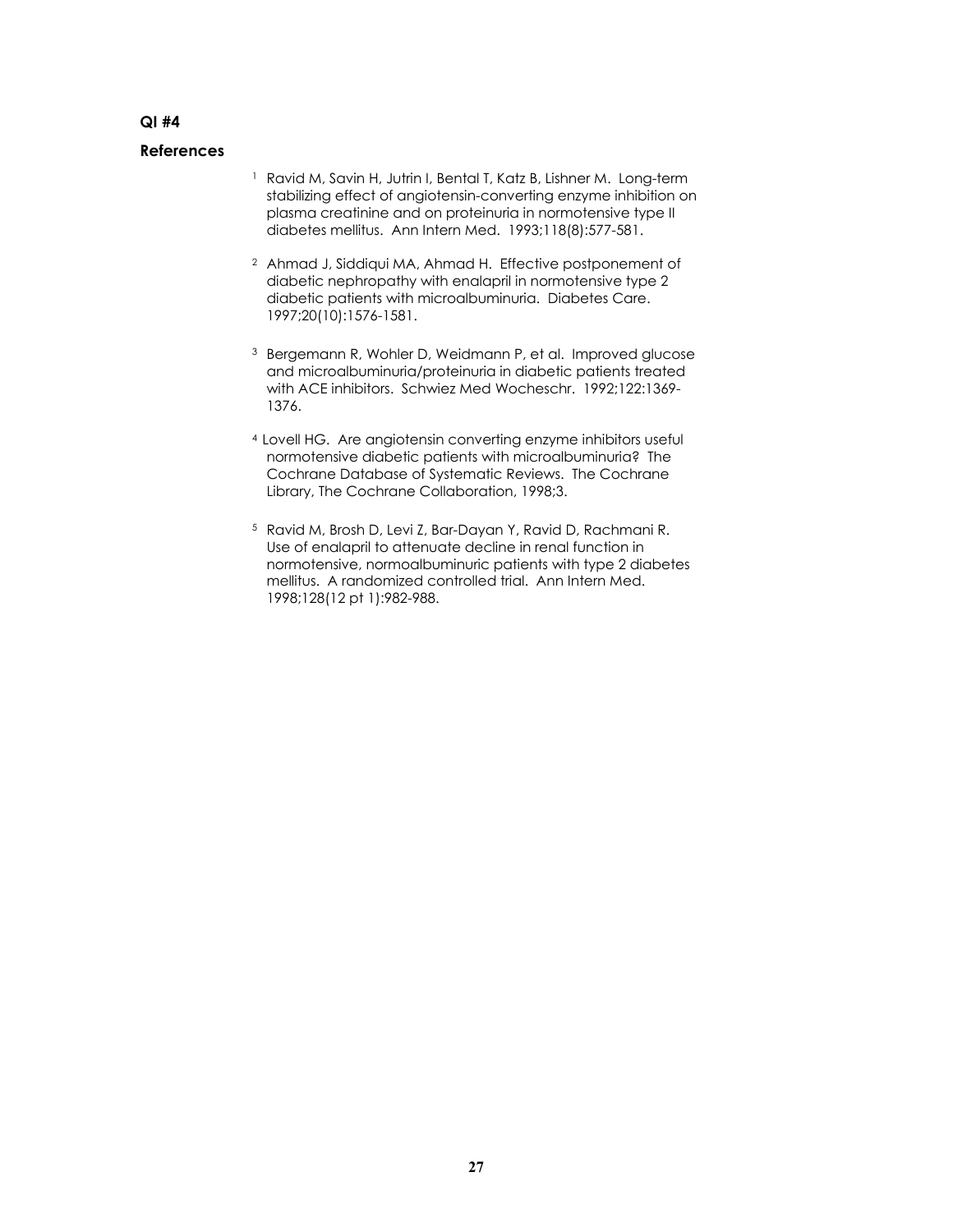- <sup>1</sup> Ravid M, Savin H, Jutrin I, Bental T, Katz B, Lishner M. Long-term stabilizing effect of angiotensin-converting enzyme inhibition on plasma creatinine and on proteinuria in normotensive type II diabetes mellitus. Ann Intern Med. 1993;118(8):577-581.
- 2 Ahmad J, Siddiqui MA, Ahmad H. Effective postponement of diabetic nephropathy with enalapril in normotensive type 2 diabetic patients with microalbuminuria. Diabetes Care. 1997;20(10):1576-1581.
- 3 Bergemann R, Wohler D, Weidmann P, et al. Improved glucose and microalbuminuria/proteinuria in diabetic patients treated with ACE inhibitors. Schwiez Med Wocheschr. 1992;122:1369- 1376.
- 4 Lovell HG. Are angiotensin converting enzyme inhibitors useful normotensive diabetic patients with microalbuminuria? The Cochrane Database of Systematic Reviews. The Cochrane Library, The Cochrane Collaboration, 1998;3.
- 5 Ravid M, Brosh D, Levi Z, Bar-Dayan Y, Ravid D, Rachmani R. Use of enalapril to attenuate decline in renal function in normotensive, normoalbuminuric patients with type 2 diabetes mellitus. A randomized controlled trial. Ann Intern Med. 1998;128(12 pt 1):982-988.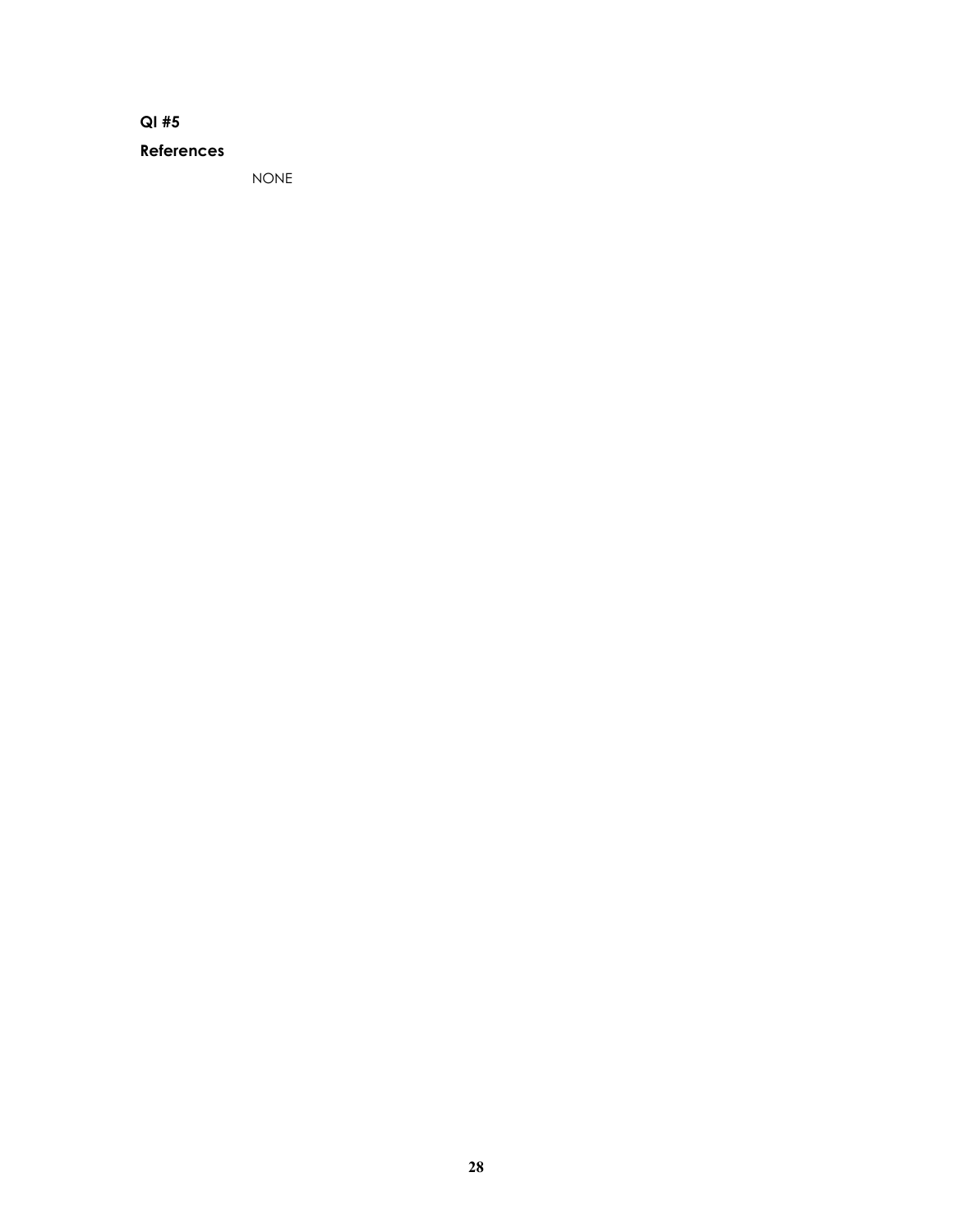### **References**

NONE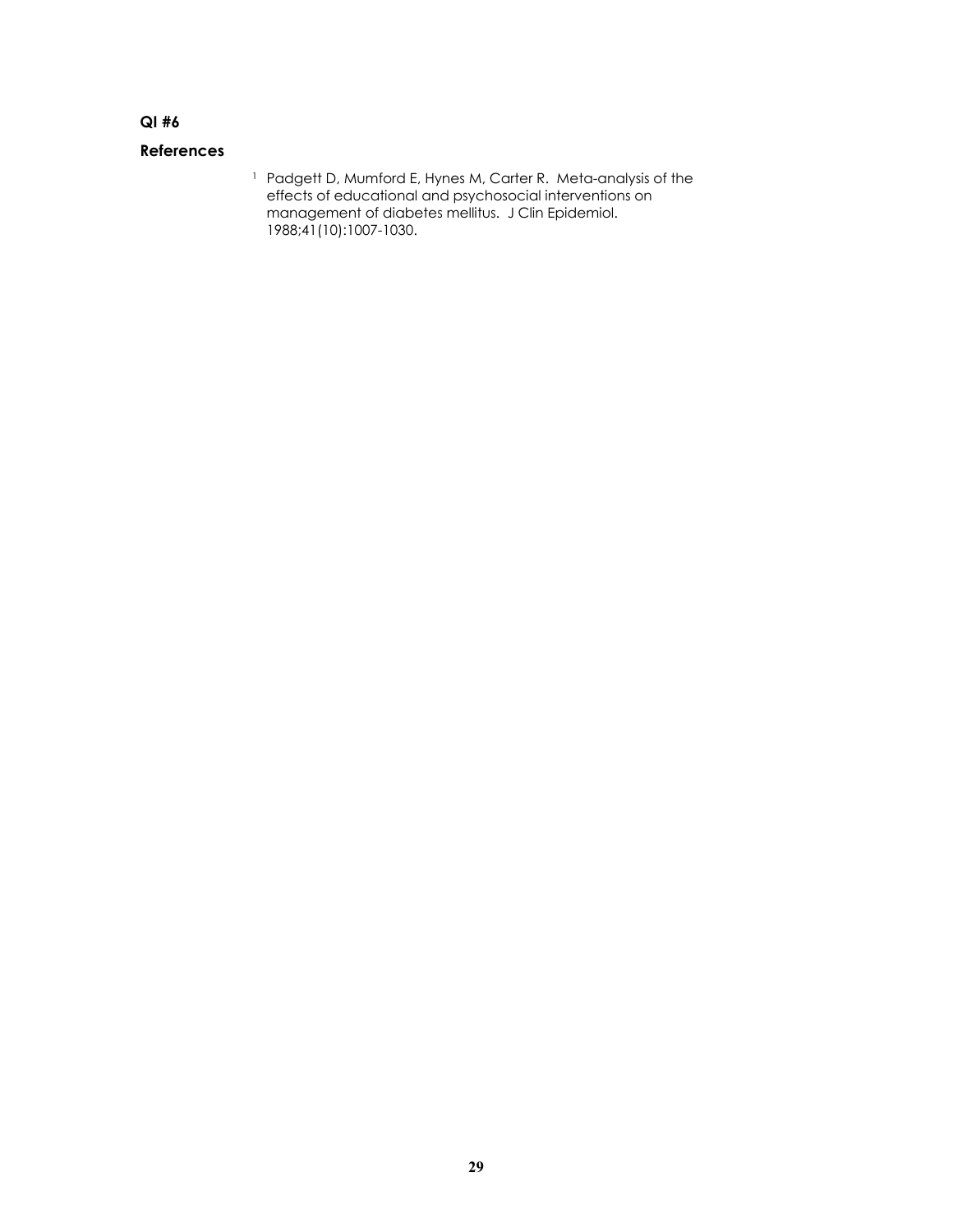### **References**

1 Padgett D, Mumford E, Hynes M, Carter R. Meta-analysis of the effects of educational and psychosocial interventions on management of diabetes mellitus. J Clin Epidemiol. 1988;41(10):1007-1030.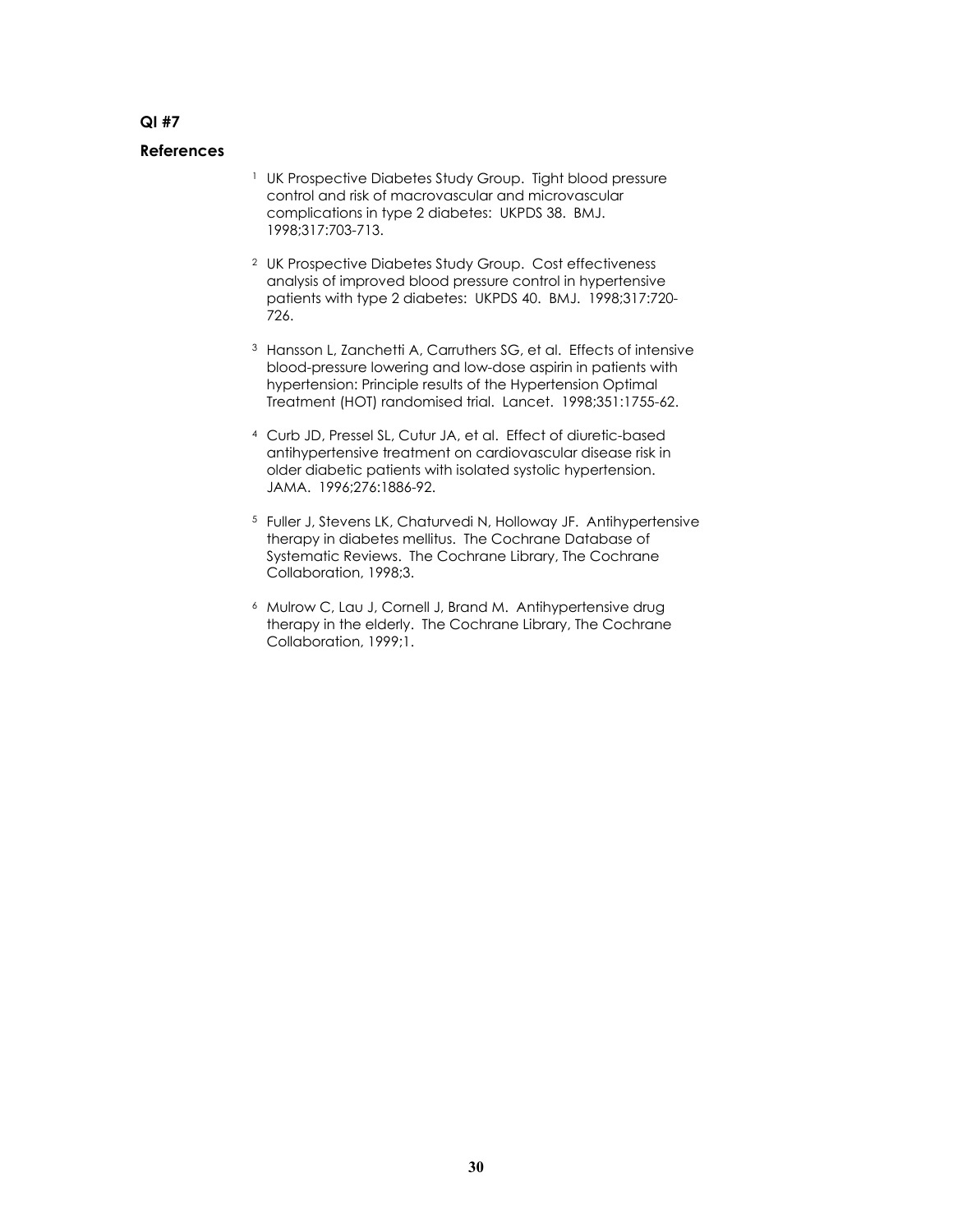- <sup>1</sup> UK Prospective Diabetes Study Group. Tight blood pressure control and risk of macrovascular and microvascular complications in type 2 diabetes: UKPDS 38. BMJ. 1998;317:703-713.
- 2 UK Prospective Diabetes Study Group. Cost effectiveness analysis of improved blood pressure control in hypertensive patients with type 2 diabetes: UKPDS 40. BMJ. 1998;317:720- 726.
- <sup>3</sup> Hansson L, Zanchetti A, Carruthers SG, et al. Effects of intensive blood-pressure lowering and low-dose aspirin in patients with hypertension: Principle results of the Hypertension Optimal Treatment (HOT) randomised trial. Lancet. 1998;351:1755-62.
- 4 Curb JD, Pressel SL, Cutur JA, et al. Effect of diuretic-based antihypertensive treatment on cardiovascular disease risk in older diabetic patients with isolated systolic hypertension. JAMA. 1996;276:1886-92.
- 5 Fuller J, Stevens LK, Chaturvedi N, Holloway JF. Antihypertensive therapy in diabetes mellitus. The Cochrane Database of Systematic Reviews. The Cochrane Library, The Cochrane Collaboration, 1998;3.
- 6 Mulrow C, Lau J, Cornell J, Brand M. Antihypertensive drug therapy in the elderly. The Cochrane Library, The Cochrane Collaboration, 1999;1.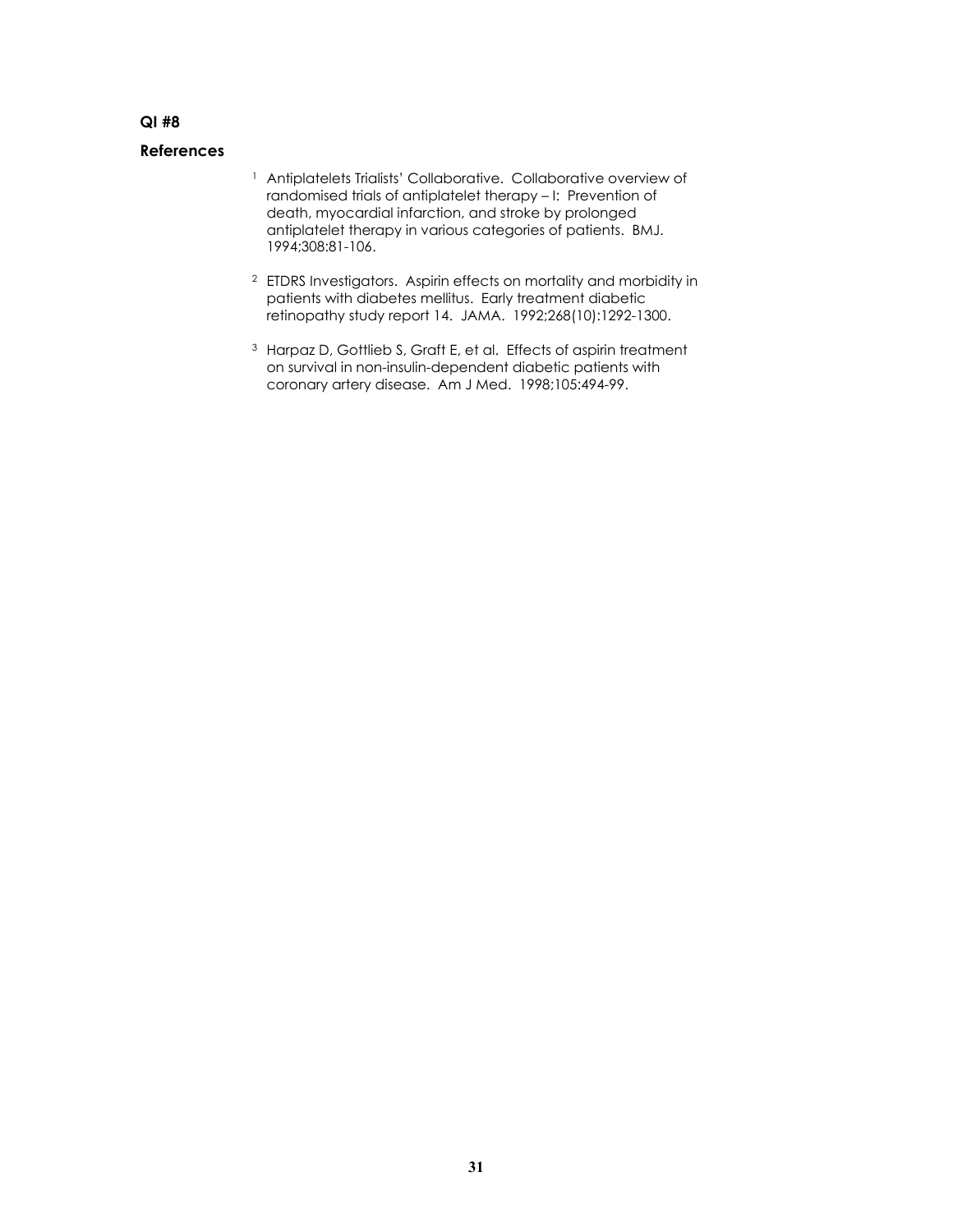- <sup>1</sup> Antiplatelets Trialists' Collaborative. Collaborative overview of randomised trials of antiplatelet therapy – I: Prevention of death, myocardial infarction, and stroke by prolonged antiplatelet therapy in various categories of patients. BMJ. 1994;308:81-106.
- 2 ETDRS Investigators. Aspirin effects on mortality and morbidity in patients with diabetes mellitus. Early treatment diabetic retinopathy study report 14. JAMA. 1992;268(10):1292-1300.
- <sup>3</sup> Harpaz D, Gottlieb S, Graft E, et al. Effects of aspirin treatment on survival in non-insulin-dependent diabetic patients with coronary artery disease. Am J Med. 1998;105:494-99.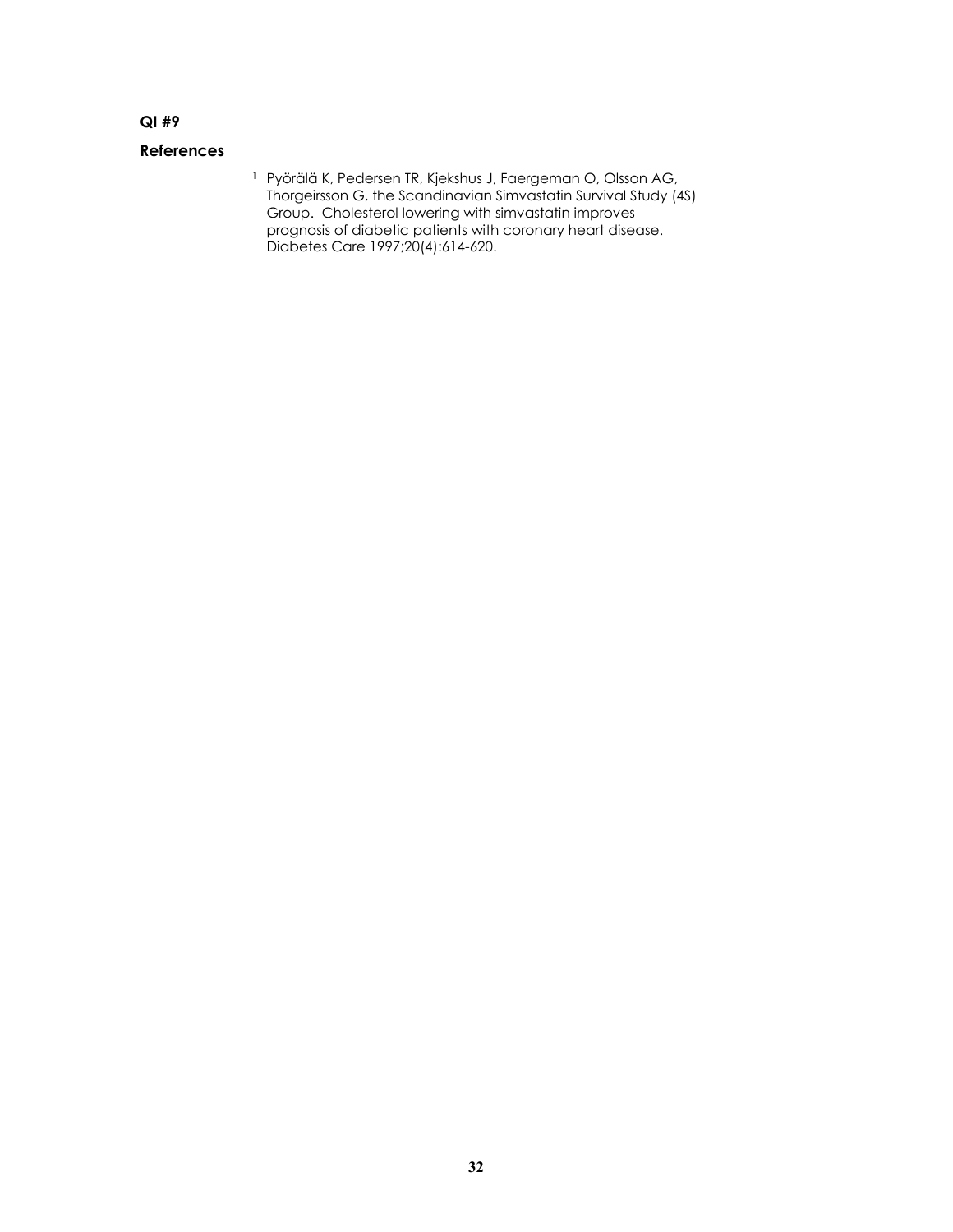### **References**

1 Pyörälä K, Pedersen TR, Kjekshus J, Faergeman O, Olsson AG, Thorgeirsson G, the Scandinavian Simvastatin Survival Study (4S) Group. Cholesterol lowering with simvastatin improves prognosis of diabetic patients with coronary heart disease. Diabetes Care 1997;20(4):614-620.